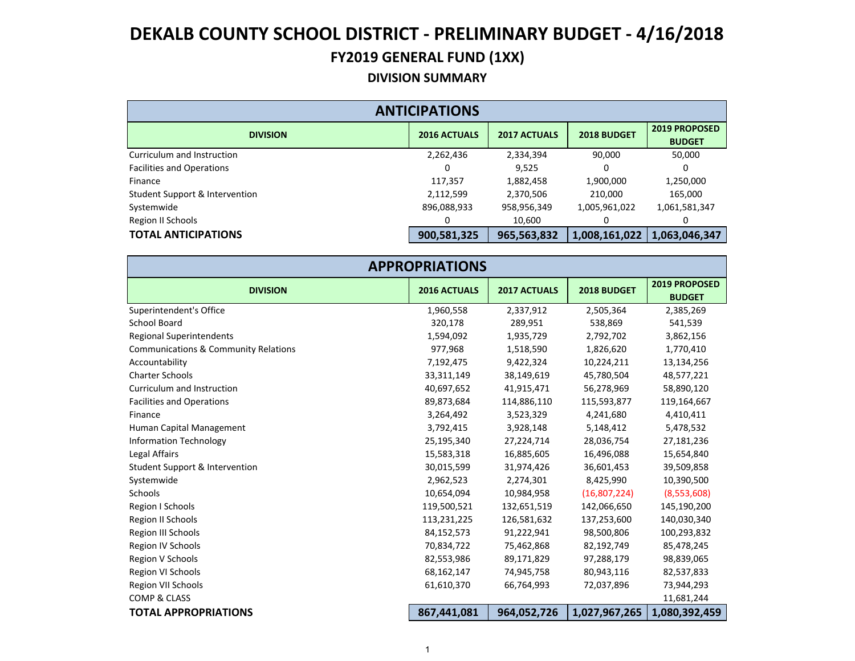#### **DIVISION SUMMARY**

| <b>ANTICIPATIONS</b>             |                     |                     |               |                                       |  |  |  |
|----------------------------------|---------------------|---------------------|---------------|---------------------------------------|--|--|--|
| <b>DIVISION</b>                  | <b>2016 ACTUALS</b> | <b>2017 ACTUALS</b> | 2018 BUDGET   | <b>2019 PROPOSED</b><br><b>BUDGET</b> |  |  |  |
| Curriculum and Instruction       | 2,262,436           | 2,334,394           | 90,000        | 50,000                                |  |  |  |
| <b>Facilities and Operations</b> |                     | 9.525               |               |                                       |  |  |  |
| Finance                          | 117,357             | 1,882,458           | 1,900,000     | 1,250,000                             |  |  |  |
| Student Support & Intervention   | 2,112,599           | 2,370,506           | 210,000       | 165,000                               |  |  |  |
| Systemwide                       | 896,088,933         | 958,956,349         | 1,005,961,022 | 1,061,581,347                         |  |  |  |
| Region II Schools                |                     | 10,600              |               |                                       |  |  |  |
| <b>TOTAL ANTICIPATIONS</b>       | 900,581,325         | 965,563,832         | 1,008,161,022 | 1,063,046,347                         |  |  |  |

| <b>APPROPRIATIONS</b>                           |                     |                     |               |                                |  |  |
|-------------------------------------------------|---------------------|---------------------|---------------|--------------------------------|--|--|
| <b>DIVISION</b>                                 | <b>2016 ACTUALS</b> | <b>2017 ACTUALS</b> | 2018 BUDGET   | 2019 PROPOSED<br><b>BUDGET</b> |  |  |
| Superintendent's Office                         | 1,960,558           | 2,337,912           | 2,505,364     | 2,385,269                      |  |  |
| School Board                                    | 320,178             | 289,951             | 538,869       | 541,539                        |  |  |
| <b>Regional Superintendents</b>                 | 1,594,092           | 1,935,729           | 2,792,702     | 3,862,156                      |  |  |
| <b>Communications &amp; Community Relations</b> | 977,968             | 1,518,590           | 1,826,620     | 1,770,410                      |  |  |
| Accountability                                  | 7,192,475           | 9,422,324           | 10,224,211    | 13,134,256                     |  |  |
| <b>Charter Schools</b>                          | 33,311,149          | 38,149,619          | 45,780,504    | 48,577,221                     |  |  |
| Curriculum and Instruction                      | 40,697,652          | 41,915,471          | 56,278,969    | 58,890,120                     |  |  |
| <b>Facilities and Operations</b>                | 89,873,684          | 114,886,110         | 115,593,877   | 119,164,667                    |  |  |
| Finance                                         | 3,264,492           | 3,523,329           | 4,241,680     | 4,410,411                      |  |  |
| Human Capital Management                        | 3,792,415           | 3,928,148           | 5,148,412     | 5,478,532                      |  |  |
| <b>Information Technology</b>                   | 25,195,340          | 27,224,714          | 28,036,754    | 27,181,236                     |  |  |
| Legal Affairs                                   | 15,583,318          | 16,885,605          | 16,496,088    | 15,654,840                     |  |  |
| Student Support & Intervention                  | 30,015,599          | 31,974,426          | 36,601,453    | 39,509,858                     |  |  |
| Systemwide                                      | 2,962,523           | 2,274,301           | 8,425,990     | 10,390,500                     |  |  |
| Schools                                         | 10,654,094          | 10,984,958          | (16,807,224)  | (8,553,608)                    |  |  |
| Region I Schools                                | 119,500,521         | 132,651,519         | 142,066,650   | 145,190,200                    |  |  |
| Region II Schools                               | 113,231,225         | 126,581,632         | 137,253,600   | 140,030,340                    |  |  |
| Region III Schools                              | 84,152,573          | 91,222,941          | 98,500,806    | 100,293,832                    |  |  |
| Region IV Schools                               | 70,834,722          | 75,462,868          | 82,192,749    | 85,478,245                     |  |  |
| Region V Schools                                | 82,553,986          | 89,171,829          | 97,288,179    | 98,839,065                     |  |  |
| <b>Region VI Schools</b>                        | 68,162,147          | 74,945,758          | 80,943,116    | 82,537,833                     |  |  |
| Region VII Schools                              | 61,610,370          | 66,764,993          | 72,037,896    | 73,944,293                     |  |  |
| <b>COMP &amp; CLASS</b>                         |                     |                     |               | 11,681,244                     |  |  |
| <b>TOTAL APPROPRIATIONS</b>                     | 867,441,081         | 964,052,726         | 1,027,967,265 | 1,080,392,459                  |  |  |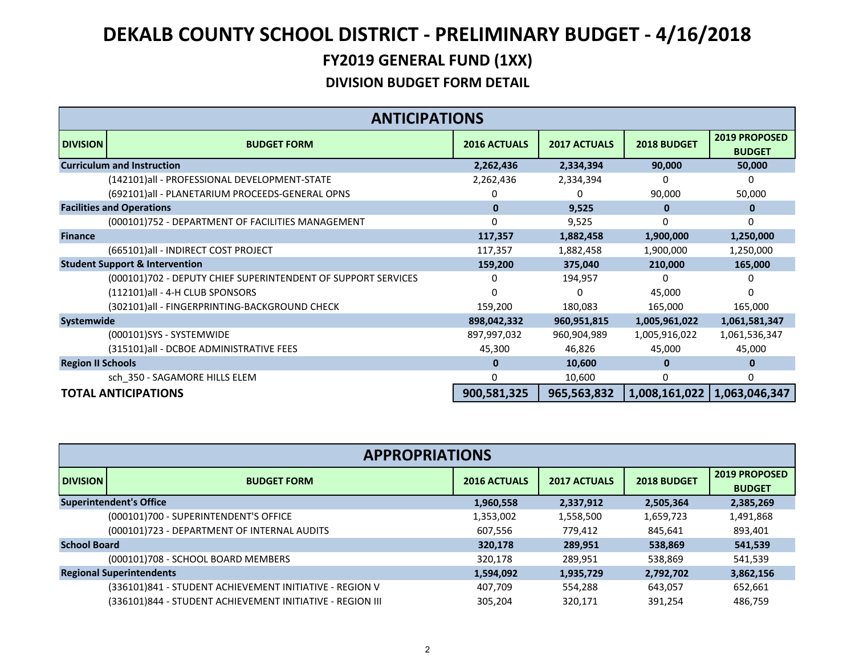|                          | <b>ANTICIPATIONS</b>                                          |                     |                     |               |                                |  |
|--------------------------|---------------------------------------------------------------|---------------------|---------------------|---------------|--------------------------------|--|
| <b>DIVISION</b>          | <b>BUDGET FORM</b>                                            | <b>2016 ACTUALS</b> | <b>2017 ACTUALS</b> | 2018 BUDGET   | 2019 PROPOSED<br><b>BUDGET</b> |  |
|                          | <b>Curriculum and Instruction</b>                             | 2,262,436           | 2,334,394           | 90,000        | 50,000                         |  |
|                          | (142101)all - PROFESSIONAL DEVELOPMENT-STATE                  | 2,262,436           | 2,334,394           | U             | 0                              |  |
|                          | (692101)all - PLANETARIUM PROCEEDS-GENERAL OPNS               |                     |                     | 90,000        | 50,000                         |  |
|                          | <b>Facilities and Operations</b>                              | $\mathbf{0}$        | 9,525               | $\bf{0}$      | 0                              |  |
|                          | (000101)752 - DEPARTMENT OF FACILITIES MANAGEMENT             | 0                   | 9,525               | $\Omega$      | 0                              |  |
| <b>Finance</b>           |                                                               | 117,357             | 1,882,458           | 1,900,000     | 1,250,000                      |  |
|                          | (665101) all - INDIRECT COST PROJECT                          | 117,357             | 1,882,458           | 1,900,000     | 1,250,000                      |  |
|                          | <b>Student Support &amp; Intervention</b>                     | 159,200             | 375,040             | 210,000       | 165,000                        |  |
|                          | (000101)702 - DEPUTY CHIEF SUPERINTENDENT OF SUPPORT SERVICES | 0                   | 194,957             |               | 0                              |  |
|                          | (112101)all - 4-H CLUB SPONSORS                               |                     | <sup>0</sup>        | 45,000        |                                |  |
|                          | (302101)all - FINGERPRINTING-BACKGROUND CHECK                 | 159,200             | 180,083             | 165,000       | 165,000                        |  |
| Systemwide               |                                                               | 898,042,332         | 960,951,815         | 1,005,961,022 | 1,061,581,347                  |  |
|                          | (000101)SYS - SYSTEMWIDE                                      | 897,997,032         | 960,904,989         | 1,005,916,022 | 1,061,536,347                  |  |
|                          | (315101)all - DCBOE ADMINISTRATIVE FEES                       | 45,300              | 46,826              | 45,000        | 45,000                         |  |
| <b>Region II Schools</b> |                                                               | 0                   | 10,600              | 0             | o                              |  |
|                          | sch_350 - SAGAMORE HILLS ELEM                                 | 0                   | 10,600              | $\Omega$      | 0                              |  |
|                          | <b>TOTAL ANTICIPATIONS</b>                                    | 900,581,325         | 965,563,832         |               | 1,008,161,022   1,063,046,347  |  |

| <b>APPROPRIATIONS</b> |                                                           |                     |                     |             |                                |  |
|-----------------------|-----------------------------------------------------------|---------------------|---------------------|-------------|--------------------------------|--|
| <b>DIVISION</b>       | <b>BUDGET FORM</b>                                        | <b>2016 ACTUALS</b> | <b>2017 ACTUALS</b> | 2018 BUDGET | 2019 PROPOSED<br><b>BUDGET</b> |  |
|                       | <b>Superintendent's Office</b>                            | 1,960,558           | 2,337,912           | 2,505,364   | 2,385,269                      |  |
|                       | (000101)700 - SUPERINTENDENT'S OFFICE                     | 1,353,002           | 1,558,500           | 1,659,723   | 1,491,868                      |  |
|                       | (000101)723 - DEPARTMENT OF INTERNAL AUDITS               | 607.556             | 779.412             | 845.641     | 893,401                        |  |
| <b>School Board</b>   |                                                           | 320,178             | 289,951             | 538,869     | 541,539                        |  |
|                       | (000101)708 - SCHOOL BOARD MEMBERS                        | 320.178             | 289.951             | 538,869     | 541,539                        |  |
|                       | <b>Regional Superintendents</b>                           | 1,594,092           | 1,935,729           | 2,792,702   | 3,862,156                      |  |
|                       | (336101)841 - STUDENT ACHIEVEMENT INITIATIVE - REGION V   | 407,709             | 554,288             | 643,057     | 652,661                        |  |
|                       | (336101)844 - STUDENT ACHIEVEMENT INITIATIVE - REGION III | 305.204             | 320.171             | 391.254     | 486,759                        |  |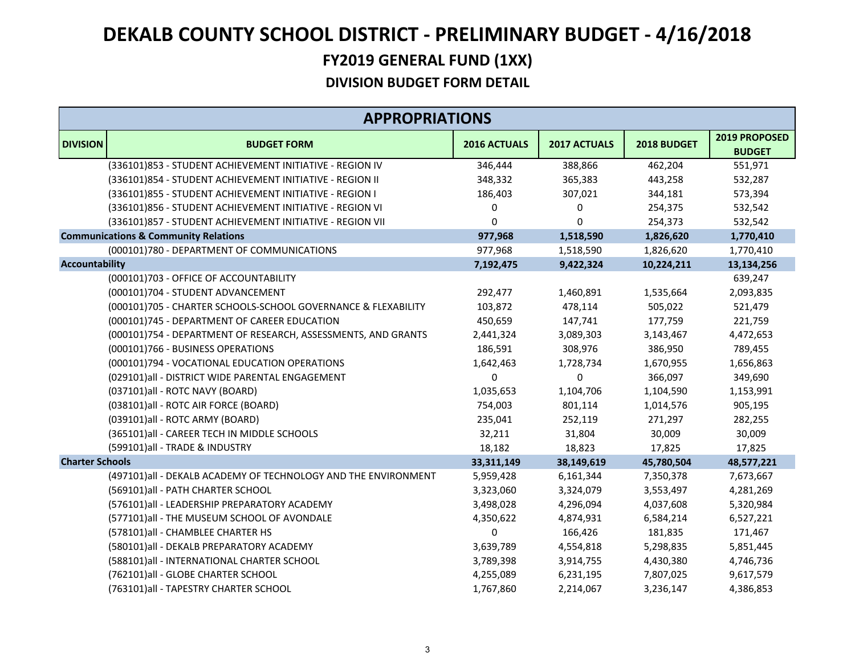|                        | <b>APPROPRIATIONS</b>                                          |                     |                     |             |                                |  |
|------------------------|----------------------------------------------------------------|---------------------|---------------------|-------------|--------------------------------|--|
| <b>DIVISION</b>        | <b>BUDGET FORM</b>                                             | <b>2016 ACTUALS</b> | <b>2017 ACTUALS</b> | 2018 BUDGET | 2019 PROPOSED<br><b>BUDGET</b> |  |
|                        | (336101)853 - STUDENT ACHIEVEMENT INITIATIVE - REGION IV       | 346,444             | 388,866             | 462,204     | 551,971                        |  |
|                        | (336101)854 - STUDENT ACHIEVEMENT INITIATIVE - REGION II       | 348,332             | 365,383             | 443,258     | 532,287                        |  |
|                        | (336101)855 - STUDENT ACHIEVEMENT INITIATIVE - REGION I        | 186,403             | 307,021             | 344,181     | 573,394                        |  |
|                        | (336101)856 - STUDENT ACHIEVEMENT INITIATIVE - REGION VI       | 0                   | 0                   | 254,375     | 532,542                        |  |
|                        | (336101)857 - STUDENT ACHIEVEMENT INITIATIVE - REGION VII      | $\Omega$            | $\Omega$            | 254,373     | 532,542                        |  |
|                        | <b>Communications &amp; Community Relations</b>                | 977,968             | 1,518,590           | 1,826,620   | 1,770,410                      |  |
|                        | (000101)780 - DEPARTMENT OF COMMUNICATIONS                     | 977,968             | 1,518,590           | 1,826,620   | 1,770,410                      |  |
| <b>Accountability</b>  |                                                                | 7,192,475           | 9,422,324           | 10,224,211  | 13,134,256                     |  |
|                        | (000101)703 - OFFICE OF ACCOUNTABILITY                         |                     |                     |             | 639,247                        |  |
|                        | (000101)704 - STUDENT ADVANCEMENT                              | 292,477             | 1,460,891           | 1,535,664   | 2,093,835                      |  |
|                        | (000101)705 - CHARTER SCHOOLS-SCHOOL GOVERNANCE & FLEXABILITY  | 103,872             | 478,114             | 505,022     | 521,479                        |  |
|                        | (000101)745 - DEPARTMENT OF CAREER EDUCATION                   | 450,659             | 147,741             | 177,759     | 221,759                        |  |
|                        | (000101)754 - DEPARTMENT OF RESEARCH, ASSESSMENTS, AND GRANTS  | 2,441,324           | 3,089,303           | 3,143,467   | 4,472,653                      |  |
|                        | (000101)766 - BUSINESS OPERATIONS                              | 186,591             | 308,976             | 386,950     | 789,455                        |  |
|                        | (000101)794 - VOCATIONAL EDUCATION OPERATIONS                  | 1,642,463           | 1,728,734           | 1,670,955   | 1,656,863                      |  |
|                        | (029101)all - DISTRICT WIDE PARENTAL ENGAGEMENT                | $\Omega$            | 0                   | 366,097     | 349,690                        |  |
|                        | (037101)all - ROTC NAVY (BOARD)                                | 1,035,653           | 1,104,706           | 1,104,590   | 1,153,991                      |  |
|                        | (038101)all - ROTC AIR FORCE (BOARD)                           | 754,003             | 801,114             | 1,014,576   | 905,195                        |  |
|                        | (039101)all - ROTC ARMY (BOARD)                                | 235,041             | 252,119             | 271,297     | 282,255                        |  |
|                        | (365101)all - CAREER TECH IN MIDDLE SCHOOLS                    | 32,211              | 31,804              | 30,009      | 30,009                         |  |
|                        | (599101)all - TRADE & INDUSTRY                                 | 18,182              | 18,823              | 17,825      | 17,825                         |  |
| <b>Charter Schools</b> |                                                                | 33,311,149          | 38,149,619          | 45,780,504  | 48,577,221                     |  |
|                        | (497101)all - DEKALB ACADEMY OF TECHNOLOGY AND THE ENVIRONMENT | 5,959,428           | 6,161,344           | 7,350,378   | 7,673,667                      |  |
|                        | (569101)all - PATH CHARTER SCHOOL                              | 3,323,060           | 3,324,079           | 3,553,497   | 4,281,269                      |  |
|                        | (576101)all - LEADERSHIP PREPARATORY ACADEMY                   | 3,498,028           | 4,296,094           | 4,037,608   | 5,320,984                      |  |
|                        | (577101)all - THE MUSEUM SCHOOL OF AVONDALE                    | 4,350,622           | 4,874,931           | 6,584,214   | 6,527,221                      |  |
|                        | (578101)all - CHAMBLEE CHARTER HS                              | 0                   | 166,426             | 181,835     | 171,467                        |  |
|                        | (580101)all - DEKALB PREPARATORY ACADEMY                       | 3,639,789           | 4,554,818           | 5,298,835   | 5,851,445                      |  |
|                        | (588101)all - INTERNATIONAL CHARTER SCHOOL                     | 3,789,398           | 3,914,755           | 4,430,380   | 4,746,736                      |  |
|                        | (762101)all - GLOBE CHARTER SCHOOL                             | 4,255,089           | 6,231,195           | 7,807,025   | 9,617,579                      |  |
|                        | (763101) all - TAPESTRY CHARTER SCHOOL                         | 1,767,860           | 2,214,067           | 3,236,147   | 4,386,853                      |  |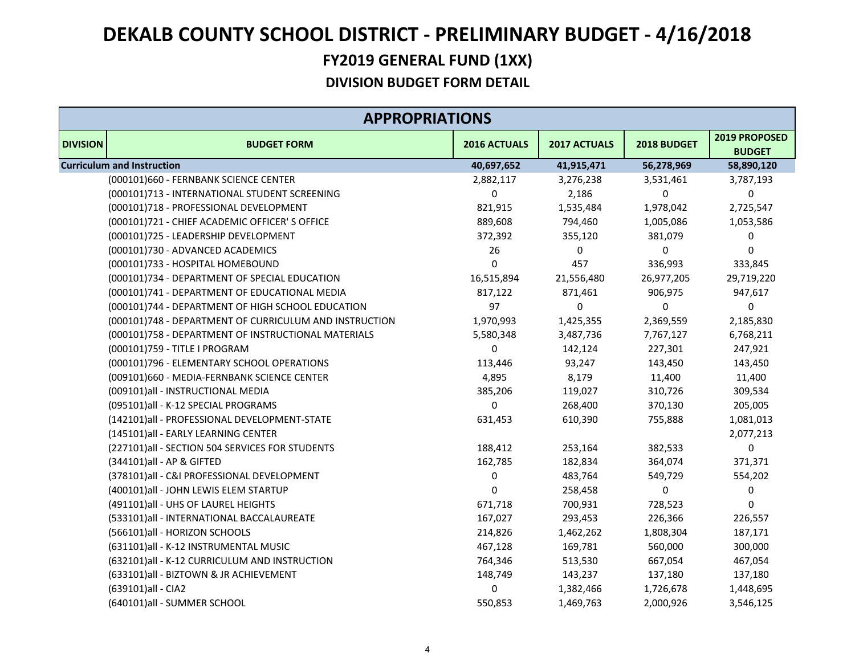| <b>APPROPRIATIONS</b> |                                                        |              |              |             |                                |  |
|-----------------------|--------------------------------------------------------|--------------|--------------|-------------|--------------------------------|--|
| <b>DIVISION</b>       | <b>BUDGET FORM</b>                                     | 2016 ACTUALS | 2017 ACTUALS | 2018 BUDGET | 2019 PROPOSED<br><b>BUDGET</b> |  |
|                       | <b>Curriculum and Instruction</b>                      | 40,697,652   | 41,915,471   | 56,278,969  | 58,890,120                     |  |
|                       | (000101)660 - FERNBANK SCIENCE CENTER                  | 2,882,117    | 3,276,238    | 3,531,461   | 3,787,193                      |  |
|                       | (000101)713 - INTERNATIONAL STUDENT SCREENING          | 0            | 2,186        | $\mathbf 0$ | 0                              |  |
|                       | (000101)718 - PROFESSIONAL DEVELOPMENT                 | 821,915      | 1,535,484    | 1,978,042   | 2,725,547                      |  |
|                       | (000101)721 - CHIEF ACADEMIC OFFICER'S OFFICE          | 889,608      | 794,460      | 1,005,086   | 1,053,586                      |  |
|                       | (000101)725 - LEADERSHIP DEVELOPMENT                   | 372,392      | 355,120      | 381,079     | 0                              |  |
|                       | (000101)730 - ADVANCED ACADEMICS                       | 26           | 0            | 0           | 0                              |  |
|                       | (000101)733 - HOSPITAL HOMEBOUND                       | $\Omega$     | 457          | 336,993     | 333,845                        |  |
|                       | (000101)734 - DEPARTMENT OF SPECIAL EDUCATION          | 16,515,894   | 21,556,480   | 26,977,205  | 29,719,220                     |  |
|                       | (000101)741 - DEPARTMENT OF EDUCATIONAL MEDIA          | 817,122      | 871,461      | 906,975     | 947,617                        |  |
|                       | (000101)744 - DEPARTMENT OF HIGH SCHOOL EDUCATION      | 97           | 0            | 0           | 0                              |  |
|                       | (000101)748 - DEPARTMENT OF CURRICULUM AND INSTRUCTION | 1,970,993    | 1,425,355    | 2,369,559   | 2,185,830                      |  |
|                       | (000101)758 - DEPARTMENT OF INSTRUCTIONAL MATERIALS    | 5,580,348    | 3,487,736    | 7,767,127   | 6,768,211                      |  |
|                       | (000101)759 - TITLE I PROGRAM                          | 0            | 142,124      | 227,301     | 247,921                        |  |
|                       | (000101)796 - ELEMENTARY SCHOOL OPERATIONS             | 113,446      | 93,247       | 143,450     | 143,450                        |  |
|                       | (009101)660 - MEDIA-FERNBANK SCIENCE CENTER            | 4,895        | 8,179        | 11,400      | 11,400                         |  |
|                       | (009101)all - INSTRUCTIONAL MEDIA                      | 385,206      | 119,027      | 310,726     | 309,534                        |  |
|                       | (095101)all - K-12 SPECIAL PROGRAMS                    | $\mathbf 0$  | 268,400      | 370,130     | 205,005                        |  |
|                       | (142101)all - PROFESSIONAL DEVELOPMENT-STATE           | 631,453      | 610,390      | 755,888     | 1,081,013                      |  |
|                       | (145101)all - EARLY LEARNING CENTER                    |              |              |             | 2,077,213                      |  |
|                       | (227101)all - SECTION 504 SERVICES FOR STUDENTS        | 188,412      | 253,164      | 382,533     | 0                              |  |
|                       | (344101) all - AP & GIFTED                             | 162,785      | 182,834      | 364,074     | 371,371                        |  |
|                       | (378101)all - C&I PROFESSIONAL DEVELOPMENT             | 0            | 483,764      | 549,729     | 554,202                        |  |
|                       | (400101)all - JOHN LEWIS ELEM STARTUP                  | $\mathbf 0$  | 258,458      | 0           | 0                              |  |
|                       | (491101) all - UHS OF LAUREL HEIGHTS                   | 671,718      | 700,931      | 728,523     | $\mathbf 0$                    |  |
|                       | (533101)all - INTERNATIONAL BACCALAUREATE              | 167,027      | 293,453      | 226,366     | 226,557                        |  |
|                       | (566101)all - HORIZON SCHOOLS                          | 214,826      | 1,462,262    | 1,808,304   | 187,171                        |  |
|                       | (631101)all - K-12 INSTRUMENTAL MUSIC                  | 467,128      | 169,781      | 560,000     | 300,000                        |  |
|                       | (632101)all - K-12 CURRICULUM AND INSTRUCTION          | 764,346      | 513,530      | 667,054     | 467,054                        |  |
|                       | (633101)all - BIZTOWN & JR ACHIEVEMENT                 | 148,749      | 143,237      | 137,180     | 137,180                        |  |
|                       | (639101)all - CIA2                                     | 0            | 1,382,466    | 1,726,678   | 1,448,695                      |  |
|                       | (640101)all - SUMMER SCHOOL                            | 550,853      | 1,469,763    | 2,000,926   | 3,546,125                      |  |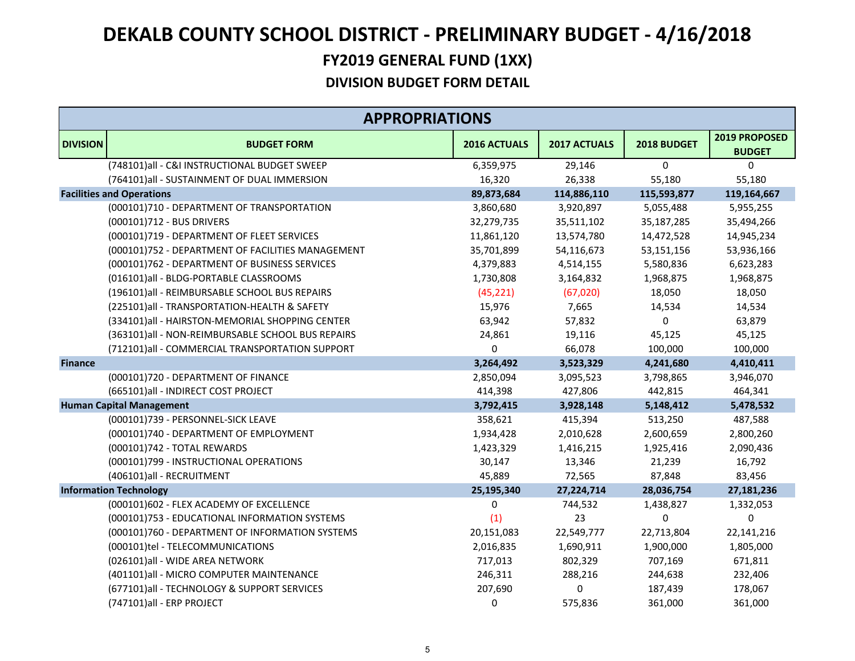|                 | <b>APPROPRIATIONS</b>                             |              |              |             |                                |  |  |
|-----------------|---------------------------------------------------|--------------|--------------|-------------|--------------------------------|--|--|
| <b>DIVISION</b> | <b>BUDGET FORM</b>                                | 2016 ACTUALS | 2017 ACTUALS | 2018 BUDGET | 2019 PROPOSED<br><b>BUDGET</b> |  |  |
|                 | (748101)all - C&I INSTRUCTIONAL BUDGET SWEEP      | 6,359,975    | 29,146       | $\mathbf 0$ | 0                              |  |  |
|                 | (764101)all - SUSTAINMENT OF DUAL IMMERSION       | 16,320       | 26,338       | 55,180      | 55,180                         |  |  |
|                 | <b>Facilities and Operations</b>                  | 89,873,684   | 114,886,110  | 115,593,877 | 119,164,667                    |  |  |
|                 | (000101)710 - DEPARTMENT OF TRANSPORTATION        | 3,860,680    | 3,920,897    | 5,055,488   | 5,955,255                      |  |  |
|                 | (000101)712 - BUS DRIVERS                         | 32,279,735   | 35,511,102   | 35,187,285  | 35,494,266                     |  |  |
|                 | (000101)719 - DEPARTMENT OF FLEET SERVICES        | 11,861,120   | 13,574,780   | 14,472,528  | 14,945,234                     |  |  |
|                 | (000101)752 - DEPARTMENT OF FACILITIES MANAGEMENT | 35,701,899   | 54,116,673   | 53,151,156  | 53,936,166                     |  |  |
|                 | (000101)762 - DEPARTMENT OF BUSINESS SERVICES     | 4,379,883    | 4,514,155    | 5,580,836   | 6,623,283                      |  |  |
|                 | (016101)all - BLDG-PORTABLE CLASSROOMS            | 1,730,808    | 3,164,832    | 1,968,875   | 1,968,875                      |  |  |
|                 | (196101)all - REIMBURSABLE SCHOOL BUS REPAIRS     | (45, 221)    | (67, 020)    | 18,050      | 18,050                         |  |  |
|                 | (225101)all - TRANSPORTATION-HEALTH & SAFETY      | 15,976       | 7,665        | 14,534      | 14,534                         |  |  |
|                 | (334101)all - HAIRSTON-MEMORIAL SHOPPING CENTER   | 63,942       | 57,832       | 0           | 63,879                         |  |  |
|                 | (363101)all - NON-REIMBURSABLE SCHOOL BUS REPAIRS | 24,861       | 19,116       | 45,125      | 45,125                         |  |  |
|                 | (712101)all - COMMERCIAL TRANSPORTATION SUPPORT   | 0            | 66,078       | 100,000     | 100,000                        |  |  |
| <b>Finance</b>  |                                                   | 3,264,492    | 3,523,329    | 4,241,680   | 4,410,411                      |  |  |
|                 | (000101)720 - DEPARTMENT OF FINANCE               | 2,850,094    | 3,095,523    | 3,798,865   | 3,946,070                      |  |  |
|                 | (665101)all - INDIRECT COST PROJECT               | 414,398      | 427,806      | 442,815     | 464,341                        |  |  |
|                 | <b>Human Capital Management</b>                   | 3,792,415    | 3,928,148    | 5,148,412   | 5,478,532                      |  |  |
|                 | (000101)739 - PERSONNEL-SICK LEAVE                | 358,621      | 415,394      | 513,250     | 487,588                        |  |  |
|                 | (000101)740 - DEPARTMENT OF EMPLOYMENT            | 1,934,428    | 2,010,628    | 2,600,659   | 2,800,260                      |  |  |
|                 | (000101)742 - TOTAL REWARDS                       | 1,423,329    | 1,416,215    | 1,925,416   | 2,090,436                      |  |  |
|                 | (000101)799 - INSTRUCTIONAL OPERATIONS            | 30,147       | 13,346       | 21,239      | 16,792                         |  |  |
|                 | (406101)all - RECRUITMENT                         | 45,889       | 72,565       | 87,848      | 83,456                         |  |  |
|                 | <b>Information Technology</b>                     | 25,195,340   | 27,224,714   | 28,036,754  | 27,181,236                     |  |  |
|                 | (000101)602 - FLEX ACADEMY OF EXCELLENCE          | 0            | 744,532      | 1,438,827   | 1,332,053                      |  |  |
|                 | (000101)753 - EDUCATIONAL INFORMATION SYSTEMS     | (1)          | 23           | 0           | $\Omega$                       |  |  |
|                 | (000101)760 - DEPARTMENT OF INFORMATION SYSTEMS   | 20,151,083   | 22,549,777   | 22,713,804  | 22,141,216                     |  |  |
|                 | (000101)tel - TELECOMMUNICATIONS                  | 2,016,835    | 1,690,911    | 1,900,000   | 1,805,000                      |  |  |
|                 | (026101)all - WIDE AREA NETWORK                   | 717,013      | 802,329      | 707,169     | 671,811                        |  |  |
|                 | (401101) all - MICRO COMPUTER MAINTENANCE         | 246,311      | 288,216      | 244,638     | 232,406                        |  |  |
|                 | (677101)all - TECHNOLOGY & SUPPORT SERVICES       | 207,690      | 0            | 187,439     | 178,067                        |  |  |
|                 | (747101)all - ERP PROJECT                         | $\pmb{0}$    | 575,836      | 361,000     | 361,000                        |  |  |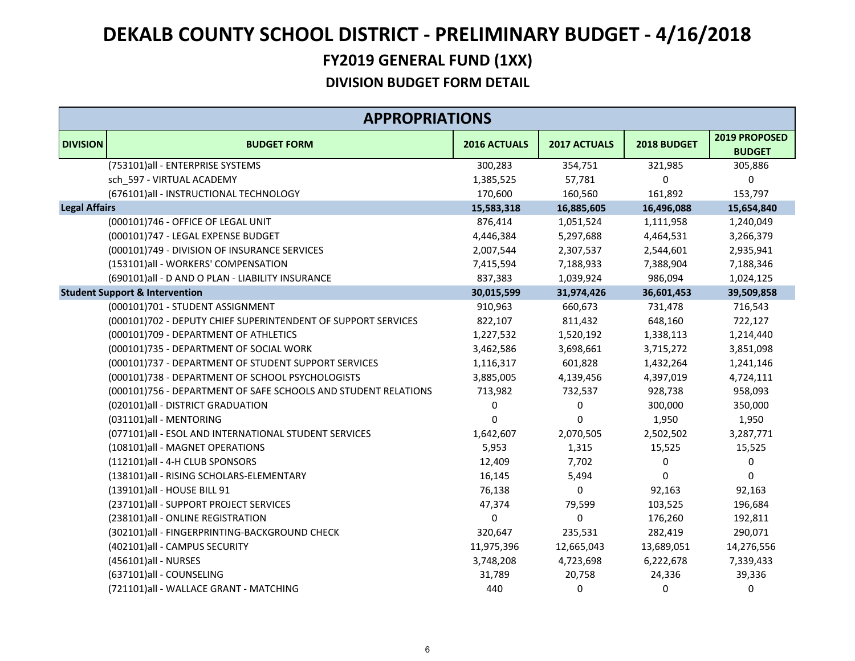|                      | <b>APPROPRIATIONS</b>                                          |              |                     |             |                                |  |  |
|----------------------|----------------------------------------------------------------|--------------|---------------------|-------------|--------------------------------|--|--|
| <b>DIVISION</b>      | <b>BUDGET FORM</b>                                             | 2016 ACTUALS | <b>2017 ACTUALS</b> | 2018 BUDGET | 2019 PROPOSED<br><b>BUDGET</b> |  |  |
|                      | (753101)all - ENTERPRISE SYSTEMS                               | 300,283      | 354,751             | 321,985     | 305,886                        |  |  |
|                      | sch 597 - VIRTUAL ACADEMY                                      | 1,385,525    | 57,781              | 0           | 0                              |  |  |
|                      | (676101)all - INSTRUCTIONAL TECHNOLOGY                         | 170,600      | 160,560             | 161,892     | 153,797                        |  |  |
| <b>Legal Affairs</b> |                                                                | 15,583,318   | 16,885,605          | 16,496,088  | 15,654,840                     |  |  |
|                      | (000101)746 - OFFICE OF LEGAL UNIT                             | 876,414      | 1,051,524           | 1,111,958   | 1,240,049                      |  |  |
|                      | (000101)747 - LEGAL EXPENSE BUDGET                             | 4,446,384    | 5,297,688           | 4,464,531   | 3,266,379                      |  |  |
|                      | (000101)749 - DIVISION OF INSURANCE SERVICES                   | 2,007,544    | 2,307,537           | 2,544,601   | 2,935,941                      |  |  |
|                      | (153101)all - WORKERS' COMPENSATION                            | 7,415,594    | 7,188,933           | 7,388,904   | 7,188,346                      |  |  |
|                      | (690101)all - D AND O PLAN - LIABILITY INSURANCE               | 837,383      | 1,039,924           | 986,094     | 1,024,125                      |  |  |
|                      | <b>Student Support &amp; Intervention</b>                      | 30,015,599   | 31,974,426          | 36,601,453  | 39,509,858                     |  |  |
|                      | (000101)701 - STUDENT ASSIGNMENT                               | 910,963      | 660,673             | 731,478     | 716,543                        |  |  |
|                      | (000101)702 - DEPUTY CHIEF SUPERINTENDENT OF SUPPORT SERVICES  | 822,107      | 811,432             | 648,160     | 722,127                        |  |  |
|                      | (000101)709 - DEPARTMENT OF ATHLETICS                          | 1,227,532    | 1,520,192           | 1,338,113   | 1,214,440                      |  |  |
|                      | (000101)735 - DEPARTMENT OF SOCIAL WORK                        | 3,462,586    | 3,698,661           | 3,715,272   | 3,851,098                      |  |  |
|                      | (000101)737 - DEPARTMENT OF STUDENT SUPPORT SERVICES           | 1,116,317    | 601,828             | 1,432,264   | 1,241,146                      |  |  |
|                      | (000101)738 - DEPARTMENT OF SCHOOL PSYCHOLOGISTS               | 3,885,005    | 4,139,456           | 4,397,019   | 4,724,111                      |  |  |
|                      | (000101)756 - DEPARTMENT OF SAFE SCHOOLS AND STUDENT RELATIONS | 713,982      | 732,537             | 928,738     | 958,093                        |  |  |
|                      | (020101)all - DISTRICT GRADUATION                              | 0            | 0                   | 300,000     | 350,000                        |  |  |
|                      | (031101)all - MENTORING                                        | 0            | $\mathbf 0$         | 1,950       | 1,950                          |  |  |
|                      | (077101)all - ESOL AND INTERNATIONAL STUDENT SERVICES          | 1,642,607    | 2,070,505           | 2,502,502   | 3,287,771                      |  |  |
|                      | (108101)all - MAGNET OPERATIONS                                | 5,953        | 1,315               | 15,525      | 15,525                         |  |  |
|                      | (112101)all - 4-H CLUB SPONSORS                                | 12,409       | 7,702               | 0           | 0                              |  |  |
|                      | (138101)all - RISING SCHOLARS-ELEMENTARY                       | 16,145       | 5,494               | 0           | $\Omega$                       |  |  |
|                      | (139101)all - HOUSE BILL 91                                    | 76,138       | $\Omega$            | 92,163      | 92,163                         |  |  |
|                      | (237101)all - SUPPORT PROJECT SERVICES                         | 47,374       | 79,599              | 103,525     | 196,684                        |  |  |
|                      | (238101)all - ONLINE REGISTRATION                              | 0            | $\Omega$            | 176,260     | 192,811                        |  |  |
|                      | (302101)all - FINGERPRINTING-BACKGROUND CHECK                  | 320,647      | 235,531             | 282,419     | 290,071                        |  |  |
|                      | (402101)all - CAMPUS SECURITY                                  | 11,975,396   | 12,665,043          | 13,689,051  | 14,276,556                     |  |  |
|                      | (456101)all - NURSES                                           | 3,748,208    | 4,723,698           | 6,222,678   | 7,339,433                      |  |  |
|                      | (637101)all - COUNSELING                                       | 31,789       | 20,758              | 24,336      | 39,336                         |  |  |
|                      | (721101)all - WALLACE GRANT - MATCHING                         | 440          | $\mathbf{0}$        | 0           | 0                              |  |  |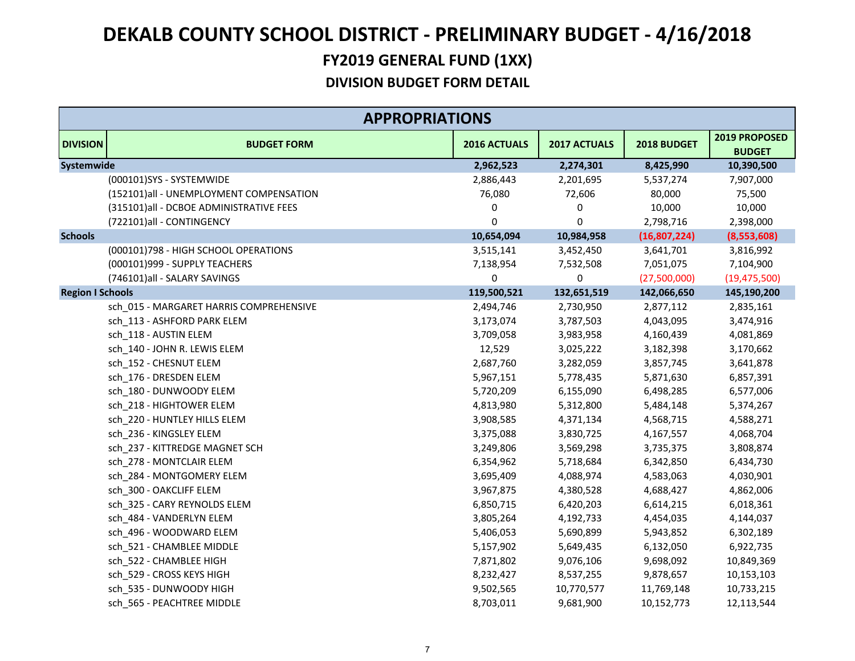|                         | <b>APPROPRIATIONS</b>                   |              |              |              |                                |  |  |
|-------------------------|-----------------------------------------|--------------|--------------|--------------|--------------------------------|--|--|
| <b>DIVISION</b>         | <b>BUDGET FORM</b>                      | 2016 ACTUALS | 2017 ACTUALS | 2018 BUDGET  | 2019 PROPOSED<br><b>BUDGET</b> |  |  |
| Systemwide              |                                         | 2,962,523    | 2,274,301    | 8,425,990    | 10,390,500                     |  |  |
|                         | (000101)SYS - SYSTEMWIDE                | 2,886,443    | 2,201,695    | 5,537,274    | 7,907,000                      |  |  |
|                         | (152101)all - UNEMPLOYMENT COMPENSATION | 76,080       | 72,606       | 80,000       | 75,500                         |  |  |
|                         | (315101)all - DCBOE ADMINISTRATIVE FEES | 0            | 0            | 10,000       | 10,000                         |  |  |
|                         | (722101)all - CONTINGENCY               | 0            | 0            | 2,798,716    | 2,398,000                      |  |  |
| <b>Schools</b>          |                                         | 10,654,094   | 10,984,958   | (16,807,224) | (8,553,608)                    |  |  |
|                         | (000101)798 - HIGH SCHOOL OPERATIONS    | 3,515,141    | 3,452,450    | 3,641,701    | 3,816,992                      |  |  |
|                         | (000101)999 - SUPPLY TEACHERS           | 7,138,954    | 7,532,508    | 7,051,075    | 7,104,900                      |  |  |
|                         | (746101)all - SALARY SAVINGS            | 0            | 0            | (27,500,000) | (19, 475, 500)                 |  |  |
| <b>Region I Schools</b> |                                         | 119,500,521  | 132,651,519  | 142,066,650  | 145,190,200                    |  |  |
|                         | sch 015 - MARGARET HARRIS COMPREHENSIVE | 2,494,746    | 2,730,950    | 2,877,112    | 2,835,161                      |  |  |
|                         | sch_113 - ASHFORD PARK ELEM             | 3,173,074    | 3,787,503    | 4,043,095    | 3,474,916                      |  |  |
|                         | sch 118 - AUSTIN ELEM                   | 3,709,058    | 3,983,958    | 4,160,439    | 4,081,869                      |  |  |
|                         | sch_140 - JOHN R. LEWIS ELEM            | 12,529       | 3,025,222    | 3,182,398    | 3,170,662                      |  |  |
|                         | sch 152 - CHESNUT ELEM                  | 2,687,760    | 3,282,059    | 3,857,745    | 3,641,878                      |  |  |
|                         | sch 176 - DRESDEN ELEM                  | 5,967,151    | 5,778,435    | 5,871,630    | 6,857,391                      |  |  |
|                         | sch 180 - DUNWOODY ELEM                 | 5,720,209    | 6,155,090    | 6,498,285    | 6,577,006                      |  |  |
|                         | sch 218 - HIGHTOWER ELEM                | 4,813,980    | 5,312,800    | 5,484,148    | 5,374,267                      |  |  |
|                         | sch_220 - HUNTLEY HILLS ELEM            | 3,908,585    | 4,371,134    | 4,568,715    | 4,588,271                      |  |  |
|                         | sch_236 - KINGSLEY ELEM                 | 3,375,088    | 3,830,725    | 4,167,557    | 4,068,704                      |  |  |
|                         | sch_237 - KITTREDGE MAGNET SCH          | 3,249,806    | 3,569,298    | 3,735,375    | 3,808,874                      |  |  |
|                         | sch 278 - MONTCLAIR ELEM                | 6,354,962    | 5,718,684    | 6,342,850    | 6,434,730                      |  |  |
|                         | sch 284 - MONTGOMERY ELEM               | 3,695,409    | 4,088,974    | 4,583,063    | 4,030,901                      |  |  |
|                         | sch_300 - OAKCLIFF ELEM                 | 3,967,875    | 4,380,528    | 4,688,427    | 4,862,006                      |  |  |
|                         | sch 325 - CARY REYNOLDS ELEM            | 6,850,715    | 6,420,203    | 6,614,215    | 6,018,361                      |  |  |
|                         | sch_484 - VANDERLYN ELEM                | 3,805,264    | 4,192,733    | 4,454,035    | 4,144,037                      |  |  |
|                         | sch_496 - WOODWARD ELEM                 | 5,406,053    | 5,690,899    | 5,943,852    | 6,302,189                      |  |  |
|                         | sch_521 - CHAMBLEE MIDDLE               | 5,157,902    | 5,649,435    | 6,132,050    | 6,922,735                      |  |  |
|                         | sch_522 - CHAMBLEE HIGH                 | 7,871,802    | 9,076,106    | 9,698,092    | 10,849,369                     |  |  |
|                         | sch 529 - CROSS KEYS HIGH               | 8,232,427    | 8,537,255    | 9,878,657    | 10,153,103                     |  |  |
|                         | sch 535 - DUNWOODY HIGH                 | 9,502,565    | 10,770,577   | 11,769,148   | 10,733,215                     |  |  |
|                         | sch 565 - PEACHTREE MIDDLE              | 8,703,011    | 9,681,900    | 10,152,773   | 12,113,544                     |  |  |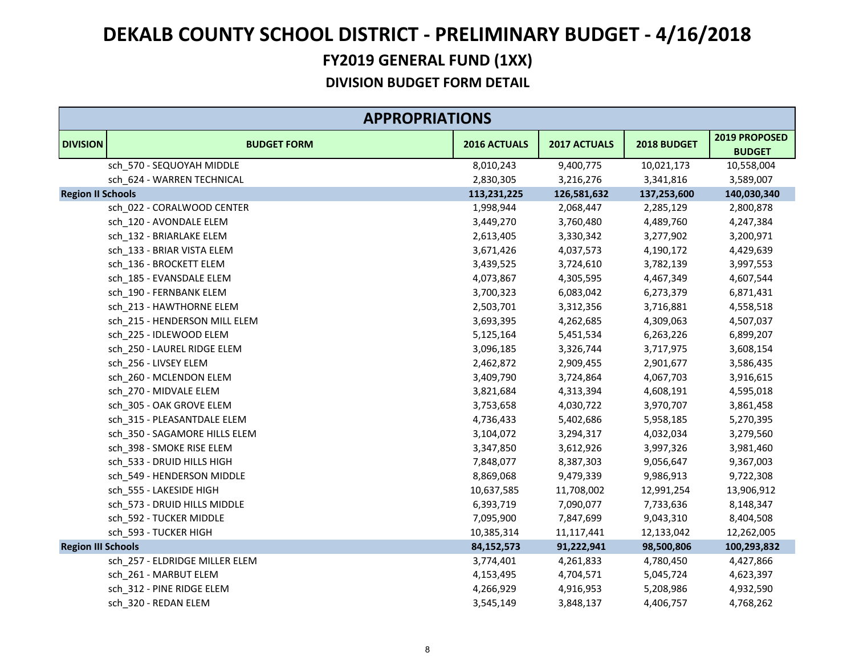|                           | <b>APPROPRIATIONS</b>          |              |              |             |                                |  |  |
|---------------------------|--------------------------------|--------------|--------------|-------------|--------------------------------|--|--|
| <b>DIVISION</b>           | <b>BUDGET FORM</b>             | 2016 ACTUALS | 2017 ACTUALS | 2018 BUDGET | 2019 PROPOSED<br><b>BUDGET</b> |  |  |
|                           | sch 570 - SEQUOYAH MIDDLE      | 8,010,243    | 9,400,775    | 10,021,173  | 10,558,004                     |  |  |
|                           | sch_624 - WARREN TECHNICAL     | 2,830,305    | 3,216,276    | 3,341,816   | 3,589,007                      |  |  |
| <b>Region II Schools</b>  |                                | 113,231,225  | 126,581,632  | 137,253,600 | 140,030,340                    |  |  |
|                           | sch_022 - CORALWOOD CENTER     | 1,998,944    | 2,068,447    | 2,285,129   | 2,800,878                      |  |  |
|                           | sch_120 - AVONDALE ELEM        | 3,449,270    | 3,760,480    | 4,489,760   | 4,247,384                      |  |  |
|                           | sch_132 - BRIARLAKE ELEM       | 2,613,405    | 3,330,342    | 3,277,902   | 3,200,971                      |  |  |
|                           | sch 133 - BRIAR VISTA ELEM     | 3,671,426    | 4,037,573    | 4,190,172   | 4,429,639                      |  |  |
|                           | sch 136 - BROCKETT ELEM        | 3,439,525    | 3,724,610    | 3,782,139   | 3,997,553                      |  |  |
|                           | sch_185 - EVANSDALE ELEM       | 4,073,867    | 4,305,595    | 4,467,349   | 4,607,544                      |  |  |
|                           | sch_190 - FERNBANK ELEM        | 3,700,323    | 6,083,042    | 6,273,379   | 6,871,431                      |  |  |
|                           | sch 213 - HAWTHORNE ELEM       | 2,503,701    | 3,312,356    | 3,716,881   | 4,558,518                      |  |  |
|                           | sch_215 - HENDERSON MILL ELEM  | 3,693,395    | 4,262,685    | 4,309,063   | 4,507,037                      |  |  |
|                           | sch_225 - IDLEWOOD ELEM        | 5,125,164    | 5,451,534    | 6,263,226   | 6,899,207                      |  |  |
|                           | sch_250 - LAUREL RIDGE ELEM    | 3,096,185    | 3,326,744    | 3,717,975   | 3,608,154                      |  |  |
|                           | sch 256 - LIVSEY ELEM          | 2,462,872    | 2,909,455    | 2,901,677   | 3,586,435                      |  |  |
|                           | sch_260 - MCLENDON ELEM        | 3,409,790    | 3,724,864    | 4,067,703   | 3,916,615                      |  |  |
|                           | sch 270 - MIDVALE ELEM         | 3,821,684    | 4,313,394    | 4,608,191   | 4,595,018                      |  |  |
|                           | sch 305 - OAK GROVE ELEM       | 3,753,658    | 4,030,722    | 3,970,707   | 3,861,458                      |  |  |
|                           | sch_315 - PLEASANTDALE ELEM    | 4,736,433    | 5,402,686    | 5,958,185   | 5,270,395                      |  |  |
|                           | sch_350 - SAGAMORE HILLS ELEM  | 3,104,072    | 3,294,317    | 4,032,034   | 3,279,560                      |  |  |
|                           | sch 398 - SMOKE RISE ELEM      | 3,347,850    | 3,612,926    | 3,997,326   | 3,981,460                      |  |  |
|                           | sch 533 - DRUID HILLS HIGH     | 7,848,077    | 8,387,303    | 9,056,647   | 9,367,003                      |  |  |
|                           | sch_549 - HENDERSON MIDDLE     | 8,869,068    | 9,479,339    | 9,986,913   | 9,722,308                      |  |  |
|                           | sch 555 - LAKESIDE HIGH        | 10,637,585   | 11,708,002   | 12,991,254  | 13,906,912                     |  |  |
|                           | sch 573 - DRUID HILLS MIDDLE   | 6,393,719    | 7,090,077    | 7,733,636   | 8,148,347                      |  |  |
|                           | sch_592 - TUCKER MIDDLE        | 7,095,900    | 7,847,699    | 9,043,310   | 8,404,508                      |  |  |
|                           | sch_593 - TUCKER HIGH          | 10,385,314   | 11,117,441   | 12,133,042  | 12,262,005                     |  |  |
| <b>Region III Schools</b> |                                | 84,152,573   | 91,222,941   | 98,500,806  | 100,293,832                    |  |  |
|                           | sch 257 - ELDRIDGE MILLER ELEM | 3,774,401    | 4,261,833    | 4,780,450   | 4,427,866                      |  |  |
|                           | sch_261 - MARBUT ELEM          | 4,153,495    | 4,704,571    | 5,045,724   | 4,623,397                      |  |  |
|                           | sch 312 - PINE RIDGE ELEM      | 4,266,929    | 4,916,953    | 5,208,986   | 4,932,590                      |  |  |
|                           | sch 320 - REDAN ELEM           | 3,545,149    | 3,848,137    | 4,406,757   | 4,768,262                      |  |  |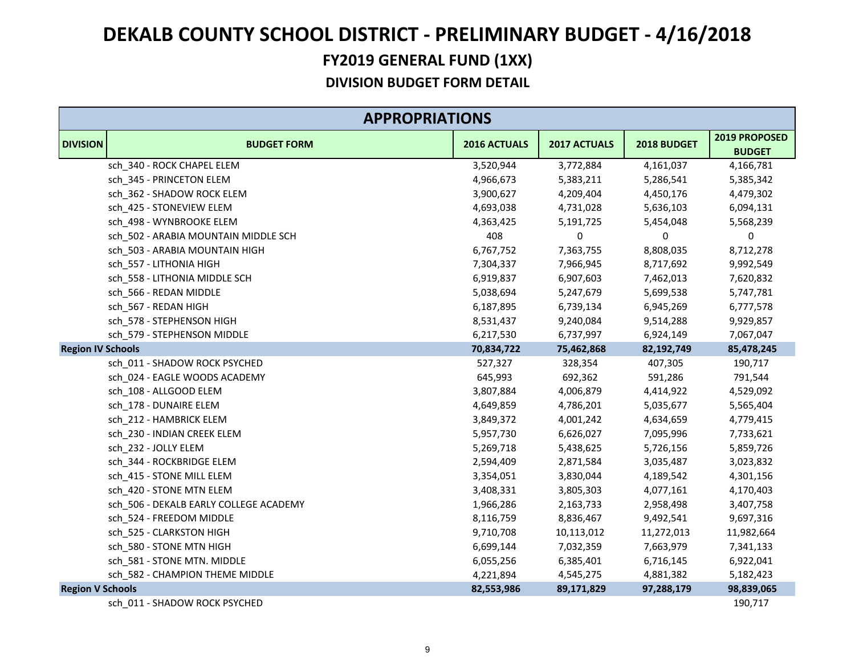|                          | <b>APPROPRIATIONS</b>                  |              |              |             |                                |  |  |
|--------------------------|----------------------------------------|--------------|--------------|-------------|--------------------------------|--|--|
| <b>DIVISION</b>          | <b>BUDGET FORM</b>                     | 2016 ACTUALS | 2017 ACTUALS | 2018 BUDGET | 2019 PROPOSED<br><b>BUDGET</b> |  |  |
|                          | sch_340 - ROCK CHAPEL ELEM             | 3,520,944    | 3,772,884    | 4,161,037   | 4,166,781                      |  |  |
|                          | sch_345 - PRINCETON ELEM               | 4,966,673    | 5,383,211    | 5,286,541   | 5,385,342                      |  |  |
|                          | sch_362 - SHADOW ROCK ELEM             | 3,900,627    | 4,209,404    | 4,450,176   | 4,479,302                      |  |  |
|                          | sch 425 - STONEVIEW ELEM               | 4,693,038    | 4,731,028    | 5,636,103   | 6,094,131                      |  |  |
|                          | sch 498 - WYNBROOKE ELEM               | 4,363,425    | 5,191,725    | 5,454,048   | 5,568,239                      |  |  |
|                          | sch 502 - ARABIA MOUNTAIN MIDDLE SCH   | 408          | 0            | 0           | 0                              |  |  |
|                          | sch_503 - ARABIA MOUNTAIN HIGH         | 6,767,752    | 7,363,755    | 8,808,035   | 8,712,278                      |  |  |
|                          | sch_557 - LITHONIA HIGH                | 7,304,337    | 7,966,945    | 8,717,692   | 9,992,549                      |  |  |
|                          | sch 558 - LITHONIA MIDDLE SCH          | 6,919,837    | 6,907,603    | 7,462,013   | 7,620,832                      |  |  |
|                          | sch_566 - REDAN MIDDLE                 | 5,038,694    | 5,247,679    | 5,699,538   | 5,747,781                      |  |  |
|                          | sch 567 - REDAN HIGH                   | 6,187,895    | 6,739,134    | 6,945,269   | 6,777,578                      |  |  |
|                          | sch_578 - STEPHENSON HIGH              | 8,531,437    | 9,240,084    | 9,514,288   | 9,929,857                      |  |  |
|                          | sch 579 - STEPHENSON MIDDLE            | 6,217,530    | 6,737,997    | 6,924,149   | 7,067,047                      |  |  |
| <b>Region IV Schools</b> |                                        | 70,834,722   | 75,462,868   | 82,192,749  | 85,478,245                     |  |  |
|                          | sch_011 - SHADOW ROCK PSYCHED          | 527,327      | 328,354      | 407,305     | 190,717                        |  |  |
|                          | sch_024 - EAGLE WOODS ACADEMY          | 645,993      | 692,362      | 591,286     | 791,544                        |  |  |
|                          | sch 108 - ALLGOOD ELEM                 | 3,807,884    | 4,006,879    | 4,414,922   | 4,529,092                      |  |  |
|                          | sch 178 - DUNAIRE ELEM                 | 4,649,859    | 4,786,201    | 5,035,677   | 5,565,404                      |  |  |
|                          | sch_212 - HAMBRICK ELEM                | 3,849,372    | 4,001,242    | 4,634,659   | 4,779,415                      |  |  |
|                          | sch_230 - INDIAN CREEK ELEM            | 5,957,730    | 6,626,027    | 7,095,996   | 7,733,621                      |  |  |
|                          | sch 232 - JOLLY ELEM                   | 5,269,718    | 5,438,625    | 5,726,156   | 5,859,726                      |  |  |
|                          | sch_344 - ROCKBRIDGE ELEM              | 2,594,409    | 2,871,584    | 3,035,487   | 3,023,832                      |  |  |
|                          | sch_415 - STONE MILL ELEM              | 3,354,051    | 3,830,044    | 4,189,542   | 4,301,156                      |  |  |
|                          | sch 420 - STONE MTN ELEM               | 3,408,331    | 3,805,303    | 4,077,161   | 4,170,403                      |  |  |
|                          | sch 506 - DEKALB EARLY COLLEGE ACADEMY | 1,966,286    | 2,163,733    | 2,958,498   | 3,407,758                      |  |  |
|                          | sch 524 - FREEDOM MIDDLE               | 8,116,759    | 8,836,467    | 9,492,541   | 9,697,316                      |  |  |
|                          | sch_525 - CLARKSTON HIGH               | 9,710,708    | 10,113,012   | 11,272,013  | 11,982,664                     |  |  |
|                          | sch 580 - STONE MTN HIGH               | 6,699,144    | 7,032,359    | 7,663,979   | 7,341,133                      |  |  |
|                          | sch_581 - STONE MTN. MIDDLE            | 6,055,256    | 6,385,401    | 6,716,145   | 6,922,041                      |  |  |
|                          | sch 582 - CHAMPION THEME MIDDLE        | 4,221,894    | 4,545,275    | 4,881,382   | 5,182,423                      |  |  |
| <b>Region V Schools</b>  |                                        | 82,553,986   | 89,171,829   | 97,288,179  | 98,839,065                     |  |  |
|                          | sch 011 - SHADOW ROCK PSYCHED          |              |              |             | 190,717                        |  |  |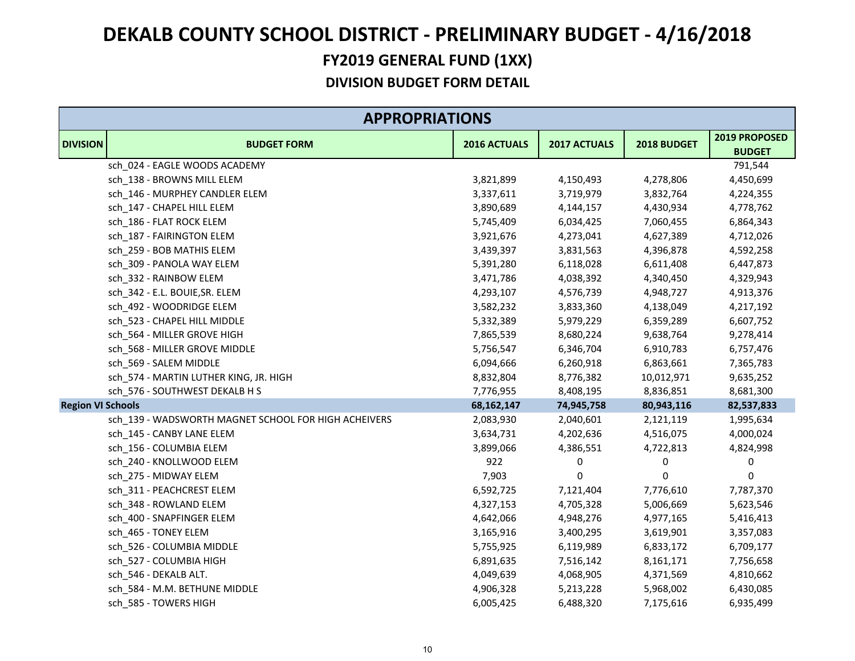|                          | <b>APPROPRIATIONS</b>                                |              |              |             |                                |  |  |
|--------------------------|------------------------------------------------------|--------------|--------------|-------------|--------------------------------|--|--|
| <b>DIVISION</b>          | <b>BUDGET FORM</b>                                   | 2016 ACTUALS | 2017 ACTUALS | 2018 BUDGET | 2019 PROPOSED<br><b>BUDGET</b> |  |  |
|                          | sch_024 - EAGLE WOODS ACADEMY                        |              |              |             | 791,544                        |  |  |
|                          | sch_138 - BROWNS MILL ELEM                           | 3,821,899    | 4,150,493    | 4,278,806   | 4,450,699                      |  |  |
|                          | sch_146 - MURPHEY CANDLER ELEM                       | 3,337,611    | 3,719,979    | 3,832,764   | 4,224,355                      |  |  |
|                          | sch 147 - CHAPEL HILL ELEM                           | 3,890,689    | 4,144,157    | 4,430,934   | 4,778,762                      |  |  |
|                          | sch_186 - FLAT ROCK ELEM                             | 5,745,409    | 6,034,425    | 7,060,455   | 6,864,343                      |  |  |
|                          | sch 187 - FAIRINGTON ELEM                            | 3,921,676    | 4,273,041    | 4,627,389   | 4,712,026                      |  |  |
|                          | sch 259 - BOB MATHIS ELEM                            | 3,439,397    | 3,831,563    | 4,396,878   | 4,592,258                      |  |  |
|                          | sch_309 - PANOLA WAY ELEM                            | 5,391,280    | 6,118,028    | 6,611,408   | 6,447,873                      |  |  |
|                          | sch 332 - RAINBOW ELEM                               | 3,471,786    | 4,038,392    | 4,340,450   | 4,329,943                      |  |  |
|                          | sch_342 - E.L. BOUIE, SR. ELEM                       | 4,293,107    | 4,576,739    | 4,948,727   | 4,913,376                      |  |  |
|                          | sch 492 - WOODRIDGE ELEM                             | 3,582,232    | 3,833,360    | 4,138,049   | 4,217,192                      |  |  |
|                          | sch_523 - CHAPEL HILL MIDDLE                         | 5,332,389    | 5,979,229    | 6,359,289   | 6,607,752                      |  |  |
|                          | sch_564 - MILLER GROVE HIGH                          | 7,865,539    | 8,680,224    | 9,638,764   | 9,278,414                      |  |  |
|                          | sch_568 - MILLER GROVE MIDDLE                        | 5,756,547    | 6,346,704    | 6,910,783   | 6,757,476                      |  |  |
|                          | sch_569 - SALEM MIDDLE                               | 6,094,666    | 6,260,918    | 6,863,661   | 7,365,783                      |  |  |
|                          | sch_574 - MARTIN LUTHER KING, JR. HIGH               | 8,832,804    | 8,776,382    | 10,012,971  | 9,635,252                      |  |  |
|                          | sch_576 - SOUTHWEST DEKALB H S                       | 7,776,955    | 8,408,195    | 8,836,851   | 8,681,300                      |  |  |
| <b>Region VI Schools</b> |                                                      | 68,162,147   | 74,945,758   | 80,943,116  | 82,537,833                     |  |  |
|                          | sch_139 - WADSWORTH MAGNET SCHOOL FOR HIGH ACHEIVERS | 2,083,930    | 2,040,601    | 2,121,119   | 1,995,634                      |  |  |
|                          | sch_145 - CANBY LANE ELEM                            | 3,634,731    | 4,202,636    | 4,516,075   | 4,000,024                      |  |  |
|                          | sch 156 - COLUMBIA ELEM                              | 3,899,066    | 4,386,551    | 4,722,813   | 4,824,998                      |  |  |
|                          | sch_240 - KNOLLWOOD ELEM                             | 922          | 0            | 0           | 0                              |  |  |
|                          | sch_275 - MIDWAY ELEM                                | 7,903        | 0            | 0           | 0                              |  |  |
|                          | sch 311 - PEACHCREST ELEM                            | 6,592,725    | 7,121,404    | 7,776,610   | 7,787,370                      |  |  |
|                          | sch 348 - ROWLAND ELEM                               | 4,327,153    | 4,705,328    | 5,006,669   | 5,623,546                      |  |  |
|                          | sch_400 - SNAPFINGER ELEM                            | 4,642,066    | 4,948,276    | 4,977,165   | 5,416,413                      |  |  |
|                          | sch_465 - TONEY ELEM                                 | 3,165,916    | 3,400,295    | 3,619,901   | 3,357,083                      |  |  |
|                          | sch_526 - COLUMBIA MIDDLE                            | 5,755,925    | 6,119,989    | 6,833,172   | 6,709,177                      |  |  |
|                          | sch_527 - COLUMBIA HIGH                              | 6,891,635    | 7,516,142    | 8,161,171   | 7,756,658                      |  |  |
|                          | sch_546 - DEKALB ALT.                                | 4,049,639    | 4,068,905    | 4,371,569   | 4,810,662                      |  |  |
|                          | sch 584 - M.M. BETHUNE MIDDLE                        | 4,906,328    | 5,213,228    | 5,968,002   | 6,430,085                      |  |  |
|                          | sch 585 - TOWERS HIGH                                | 6,005,425    | 6,488,320    | 7,175,616   | 6,935,499                      |  |  |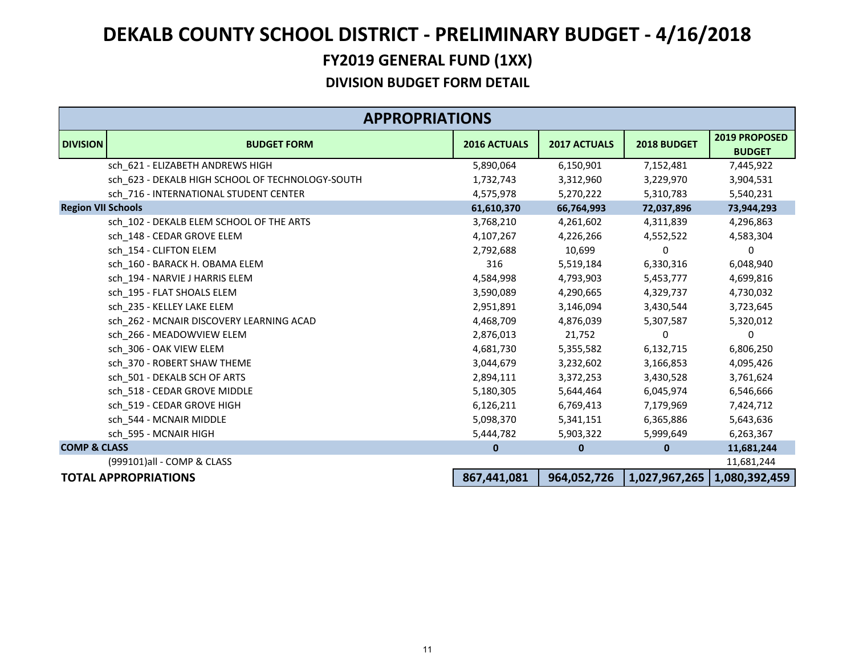|                           | <b>APPROPRIATIONS</b>                            |                     |                     |               |                                       |  |
|---------------------------|--------------------------------------------------|---------------------|---------------------|---------------|---------------------------------------|--|
| <b>DIVISION</b>           | <b>BUDGET FORM</b>                               | <b>2016 ACTUALS</b> | <b>2017 ACTUALS</b> | 2018 BUDGET   | <b>2019 PROPOSED</b><br><b>BUDGET</b> |  |
|                           | sch_621 - ELIZABETH ANDREWS HIGH                 | 5,890,064           | 6,150,901           | 7,152,481     | 7,445,922                             |  |
|                           | sch_623 - DEKALB HIGH SCHOOL OF TECHNOLOGY-SOUTH | 1,732,743           | 3,312,960           | 3,229,970     | 3,904,531                             |  |
|                           | sch 716 - INTERNATIONAL STUDENT CENTER           | 4,575,978           | 5,270,222           | 5,310,783     | 5,540,231                             |  |
| <b>Region VII Schools</b> |                                                  | 61,610,370          | 66,764,993          | 72,037,896    | 73,944,293                            |  |
|                           | sch 102 - DEKALB ELEM SCHOOL OF THE ARTS         | 3,768,210           | 4,261,602           | 4,311,839     | 4,296,863                             |  |
|                           | sch 148 - CEDAR GROVE ELEM                       | 4,107,267           | 4,226,266           | 4,552,522     | 4,583,304                             |  |
|                           | sch 154 - CLIFTON ELEM                           | 2,792,688           | 10,699              | 0             | 0                                     |  |
|                           | sch 160 - BARACK H. OBAMA ELEM                   | 316                 | 5,519,184           | 6,330,316     | 6,048,940                             |  |
|                           | sch 194 - NARVIE J HARRIS ELEM                   | 4,584,998           | 4,793,903           | 5,453,777     | 4,699,816                             |  |
|                           | sch 195 - FLAT SHOALS ELEM                       | 3,590,089           | 4,290,665           | 4,329,737     | 4,730,032                             |  |
|                           | sch 235 - KELLEY LAKE ELEM                       | 2,951,891           | 3,146,094           | 3,430,544     | 3,723,645                             |  |
|                           | sch 262 - MCNAIR DISCOVERY LEARNING ACAD         | 4,468,709           | 4,876,039           | 5,307,587     | 5,320,012                             |  |
|                           | sch 266 - MEADOWVIEW ELEM                        | 2,876,013           | 21,752              | 0             | 0                                     |  |
|                           | sch 306 - OAK VIEW ELEM                          | 4,681,730           | 5,355,582           | 6,132,715     | 6,806,250                             |  |
|                           | sch 370 - ROBERT SHAW THEME                      | 3,044,679           | 3,232,602           | 3,166,853     | 4,095,426                             |  |
|                           | sch 501 - DEKALB SCH OF ARTS                     | 2,894,111           | 3,372,253           | 3,430,528     | 3,761,624                             |  |
|                           | sch 518 - CEDAR GROVE MIDDLE                     | 5,180,305           | 5,644,464           | 6,045,974     | 6,546,666                             |  |
|                           | sch 519 - CEDAR GROVE HIGH                       | 6,126,211           | 6,769,413           | 7,179,969     | 7,424,712                             |  |
|                           | sch 544 - MCNAIR MIDDLE                          | 5,098,370           | 5,341,151           | 6,365,886     | 5,643,636                             |  |
|                           | sch 595 - MCNAIR HIGH                            | 5,444,782           | 5,903,322           | 5,999,649     | 6,263,367                             |  |
| <b>COMP &amp; CLASS</b>   |                                                  | $\mathbf{0}$        | $\mathbf{0}$        | $\mathbf 0$   | 11,681,244                            |  |
|                           | (999101)all - COMP & CLASS                       |                     |                     |               | 11,681,244                            |  |
|                           | <b>TOTAL APPROPRIATIONS</b>                      | 867,441,081         | 964,052,726         | 1,027,967,265 | 1,080,392,459                         |  |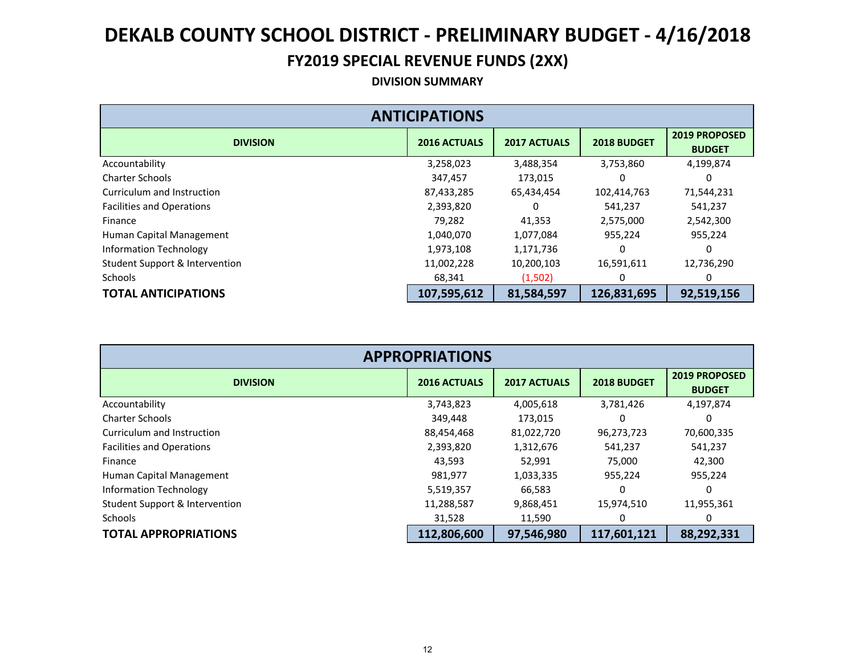#### **FY2019 SPECIAL REVENUE FUNDS (2XX)**

#### **DIVISION SUMMARY**

| <b>ANTICIPATIONS</b>             |                     |                     |             |                                       |  |  |  |  |
|----------------------------------|---------------------|---------------------|-------------|---------------------------------------|--|--|--|--|
| <b>DIVISION</b>                  | <b>2016 ACTUALS</b> | <b>2017 ACTUALS</b> | 2018 BUDGET | <b>2019 PROPOSED</b><br><b>BUDGET</b> |  |  |  |  |
| Accountability                   | 3,258,023           | 3,488,354           | 3,753,860   | 4,199,874                             |  |  |  |  |
| <b>Charter Schools</b>           | 347,457             | 173,015             | 0           |                                       |  |  |  |  |
| Curriculum and Instruction       | 87,433,285          | 65,434,454          | 102,414,763 | 71,544,231                            |  |  |  |  |
| <b>Facilities and Operations</b> | 2,393,820           | 0                   | 541,237     | 541,237                               |  |  |  |  |
| Finance                          | 79,282              | 41,353              | 2,575,000   | 2,542,300                             |  |  |  |  |
| Human Capital Management         | 1,040,070           | 1,077,084           | 955,224     | 955,224                               |  |  |  |  |
| <b>Information Technology</b>    | 1,973,108           | 1,171,736           | 0           |                                       |  |  |  |  |
| Student Support & Intervention   | 11,002,228          | 10,200,103          | 16,591,611  | 12,736,290                            |  |  |  |  |
| <b>Schools</b>                   | 68,341              | (1,502)             |             |                                       |  |  |  |  |
| <b>TOTAL ANTICIPATIONS</b>       | 107,595,612         | 81,584,597          | 126,831,695 | 92,519,156                            |  |  |  |  |

| <b>APPROPRIATIONS</b>            |                     |                     |             |                                       |  |  |  |  |
|----------------------------------|---------------------|---------------------|-------------|---------------------------------------|--|--|--|--|
| <b>DIVISION</b>                  | <b>2016 ACTUALS</b> | <b>2017 ACTUALS</b> | 2018 BUDGET | <b>2019 PROPOSED</b><br><b>BUDGET</b> |  |  |  |  |
| Accountability                   | 3,743,823           | 4,005,618           | 3,781,426   | 4,197,874                             |  |  |  |  |
| <b>Charter Schools</b>           | 349,448             | 173,015             | 0           | 0                                     |  |  |  |  |
| Curriculum and Instruction       | 88,454,468          | 81,022,720          | 96,273,723  | 70,600,335                            |  |  |  |  |
| <b>Facilities and Operations</b> | 2,393,820           | 1,312,676           | 541,237     | 541,237                               |  |  |  |  |
| Finance                          | 43,593              | 52,991              | 75,000      | 42,300                                |  |  |  |  |
| Human Capital Management         | 981,977             | 1,033,335           | 955,224     | 955,224                               |  |  |  |  |
| Information Technology           | 5,519,357           | 66,583              |             |                                       |  |  |  |  |
| Student Support & Intervention   | 11,288,587          | 9,868,451           | 15,974,510  | 11,955,361                            |  |  |  |  |
| <b>Schools</b>                   | 31,528              | 11,590              |             |                                       |  |  |  |  |
| <b>TOTAL APPROPRIATIONS</b>      | 112,806,600         | 97,546,980          | 117,601,121 | 88,292,331                            |  |  |  |  |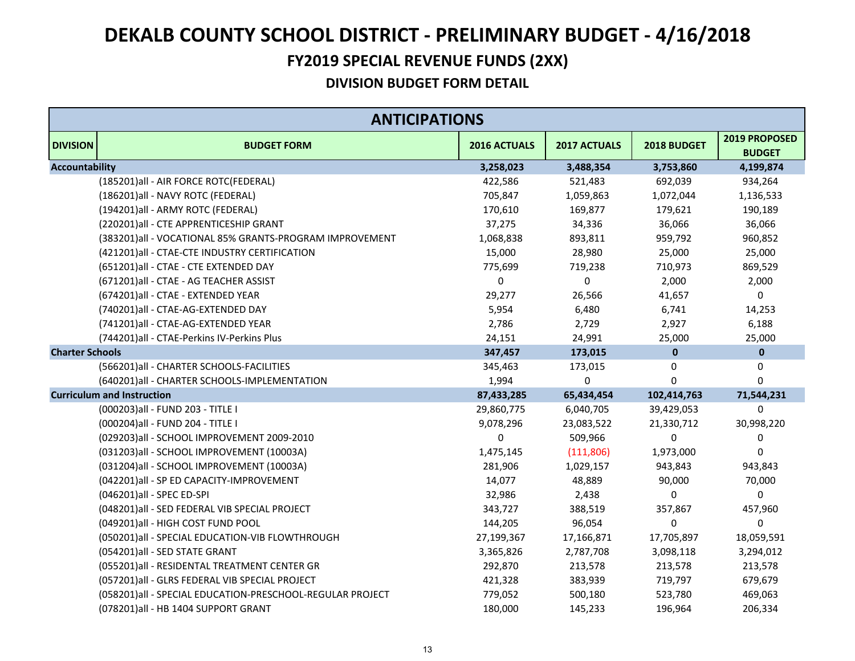#### **FY2019 SPECIAL REVENUE FUNDS (2XX)**

|                        | <b>ANTICIPATIONS</b>                                       |              |              |              |                                |  |
|------------------------|------------------------------------------------------------|--------------|--------------|--------------|--------------------------------|--|
| <b>DIVISION</b>        | <b>BUDGET FORM</b>                                         | 2016 ACTUALS | 2017 ACTUALS | 2018 BUDGET  | 2019 PROPOSED<br><b>BUDGET</b> |  |
| <b>Accountability</b>  |                                                            | 3,258,023    | 3,488,354    | 3,753,860    | 4,199,874                      |  |
|                        | (185201) all - AIR FORCE ROTC(FEDERAL)                     | 422,586      | 521,483      | 692,039      | 934,264                        |  |
|                        | (186201)all - NAVY ROTC (FEDERAL)                          | 705,847      | 1,059,863    | 1,072,044    | 1,136,533                      |  |
|                        | (194201)all - ARMY ROTC (FEDERAL)                          | 170,610      | 169,877      | 179,621      | 190,189                        |  |
|                        | (220201)all - CTE APPRENTICESHIP GRANT                     | 37,275       | 34,336       | 36,066       | 36,066                         |  |
|                        | (383201)all - VOCATIONAL 85% GRANTS-PROGRAM IMPROVEMENT    | 1,068,838    | 893,811      | 959,792      | 960,852                        |  |
|                        | (421201) all - CTAE-CTE INDUSTRY CERTIFICATION             | 15,000       | 28,980       | 25,000       | 25,000                         |  |
|                        | (651201)all - CTAE - CTE EXTENDED DAY                      | 775,699      | 719,238      | 710,973      | 869,529                        |  |
|                        | (671201) all - CTAE - AG TEACHER ASSIST                    | 0            | $\mathbf 0$  | 2,000        | 2,000                          |  |
|                        | (674201)all - CTAE - EXTENDED YEAR                         | 29,277       | 26,566       | 41,657       | 0                              |  |
|                        | (740201)all - CTAE-AG-EXTENDED DAY                         | 5,954        | 6,480        | 6,741        | 14,253                         |  |
|                        | (741201)all - CTAE-AG-EXTENDED YEAR                        | 2,786        | 2,729        | 2,927        | 6,188                          |  |
|                        | (744201)all - CTAE-Perkins IV-Perkins Plus                 | 24,151       | 24,991       | 25,000       | 25,000                         |  |
| <b>Charter Schools</b> |                                                            | 347,457      | 173,015      | $\bf{0}$     | $\pmb{0}$                      |  |
|                        | (566201) all - CHARTER SCHOOLS-FACILITIES                  | 345,463      | 173,015      | 0            | 0                              |  |
|                        | (640201) all - CHARTER SCHOOLS-IMPLEMENTATION              | 1,994        | $\mathbf 0$  | $\mathbf{0}$ | $\Omega$                       |  |
|                        | <b>Curriculum and Instruction</b>                          | 87,433,285   | 65,434,454   | 102,414,763  | 71,544,231                     |  |
|                        | (000203) all - FUND 203 - TITLE I                          | 29,860,775   | 6,040,705    | 39,429,053   | 0                              |  |
|                        | (000204) all - FUND 204 - TITLE I                          | 9,078,296    | 23,083,522   | 21,330,712   | 30,998,220                     |  |
|                        | (029203) all - SCHOOL IMPROVEMENT 2009-2010                | 0            | 509,966      | $\Omega$     | 0                              |  |
|                        | (031203)all - SCHOOL IMPROVEMENT (10003A)                  | 1,475,145    | (111, 806)   | 1,973,000    | $\Omega$                       |  |
|                        | (031204) all - SCHOOL IMPROVEMENT (10003A)                 | 281,906      | 1,029,157    | 943,843      | 943,843                        |  |
|                        | (042201)all - SP ED CAPACITY-IMPROVEMENT                   | 14,077       | 48,889       | 90,000       | 70,000                         |  |
|                        | (046201)all - SPEC ED-SPI                                  | 32,986       | 2,438        | 0            | 0                              |  |
|                        | (048201) all - SED FEDERAL VIB SPECIAL PROJECT             | 343,727      | 388,519      | 357,867      | 457,960                        |  |
|                        | (049201)all - HIGH COST FUND POOL                          | 144,205      | 96,054       | 0            | 0                              |  |
|                        | (050201)all - SPECIAL EDUCATION-VIB FLOWTHROUGH            | 27,199,367   | 17,166,871   | 17,705,897   | 18,059,591                     |  |
|                        | (054201)all - SED STATE GRANT                              | 3,365,826    | 2,787,708    | 3,098,118    | 3,294,012                      |  |
|                        | (055201)all - RESIDENTAL TREATMENT CENTER GR               | 292,870      | 213,578      | 213,578      | 213,578                        |  |
|                        | (057201)all - GLRS FEDERAL VIB SPECIAL PROJECT             | 421,328      | 383,939      | 719,797      | 679,679                        |  |
|                        | (058201) all - SPECIAL EDUCATION-PRESCHOOL-REGULAR PROJECT | 779,052      | 500,180      | 523,780      | 469,063                        |  |
|                        | (078201)all - HB 1404 SUPPORT GRANT                        | 180,000      | 145,233      | 196,964      | 206,334                        |  |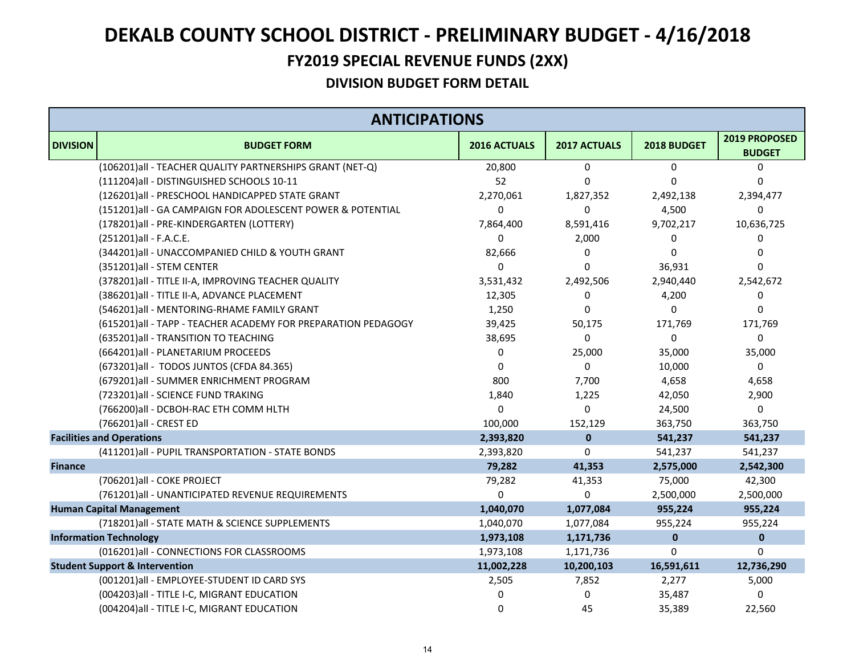#### **FY2019 SPECIAL REVENUE FUNDS (2XX)**

|                 | <b>ANTICIPATIONS</b>                                           |              |                     |                |                                |  |
|-----------------|----------------------------------------------------------------|--------------|---------------------|----------------|--------------------------------|--|
| <b>DIVISION</b> | <b>BUDGET FORM</b>                                             | 2016 ACTUALS | <b>2017 ACTUALS</b> | 2018 BUDGET    | 2019 PROPOSED<br><b>BUDGET</b> |  |
|                 | (106201) all - TEACHER QUALITY PARTNERSHIPS GRANT (NET-Q)      | 20,800       | $\mathbf 0$         | $\mathbf 0$    | 0                              |  |
|                 | (111204)all - DISTINGUISHED SCHOOLS 10-11                      | 52           | $\Omega$            | $\overline{0}$ | 0                              |  |
|                 | (126201)all - PRESCHOOL HANDICAPPED STATE GRANT                | 2,270,061    | 1,827,352           | 2,492,138      | 2,394,477                      |  |
|                 | (151201)all - GA CAMPAIGN FOR ADOLESCENT POWER & POTENTIAL     | 0            | 0                   | 4,500          | 0                              |  |
|                 | (178201)all - PRE-KINDERGARTEN (LOTTERY)                       | 7,864,400    | 8,591,416           | 9,702,217      | 10,636,725                     |  |
|                 | (251201) all - F.A.C.E.                                        | 0            | 2,000               | 0              | 0                              |  |
|                 | (344201)all - UNACCOMPANIED CHILD & YOUTH GRANT                | 82,666       | $\Omega$            | $\Omega$       | 0                              |  |
|                 | (351201)all - STEM CENTER                                      | 0            | $\Omega$            | 36,931         | 0                              |  |
|                 | (378201) all - TITLE II-A, IMPROVING TEACHER QUALITY           | 3,531,432    | 2,492,506           | 2,940,440      | 2,542,672                      |  |
|                 | (386201) all - TITLE II-A, ADVANCE PLACEMENT                   | 12,305       | 0                   | 4,200          | 0                              |  |
|                 | (546201) all - MENTORING-RHAME FAMILY GRANT                    | 1,250        | 0                   | 0              | 0                              |  |
|                 | (615201) all - TAPP - TEACHER ACADEMY FOR PREPARATION PEDAGOGY | 39,425       | 50,175              | 171,769        | 171,769                        |  |
|                 | (635201) all - TRANSITION TO TEACHING                          | 38,695       | 0                   | 0              | 0                              |  |
|                 | (664201) all - PLANETARIUM PROCEEDS                            | 0            | 25,000              | 35,000         | 35,000                         |  |
|                 | (673201)all - TODOS JUNTOS (CFDA 84.365)                       | 0            | $\mathbf 0$         | 10,000         | 0                              |  |
|                 | (679201) all - SUMMER ENRICHMENT PROGRAM                       | 800          | 7,700               | 4,658          | 4,658                          |  |
|                 | (723201)all - SCIENCE FUND TRAKING                             | 1,840        | 1,225               | 42,050         | 2,900                          |  |
|                 | (766200) all - DCBOH-RAC ETH COMM HLTH                         | 0            | $\mathbf 0$         | 24,500         | 0                              |  |
|                 | (766201)all - CREST ED                                         | 100,000      | 152,129             | 363,750        | 363,750                        |  |
|                 | <b>Facilities and Operations</b>                               | 2,393,820    | $\mathbf 0$         | 541,237        | 541,237                        |  |
|                 | (411201)all - PUPIL TRANSPORTATION - STATE BONDS               | 2,393,820    | 0                   | 541,237        | 541,237                        |  |
| <b>Finance</b>  |                                                                | 79,282       | 41,353              | 2,575,000      | 2,542,300                      |  |
|                 | (706201)all - COKE PROJECT                                     | 79,282       | 41,353              | 75,000         | 42,300                         |  |
|                 | (761201) all - UNANTICIPATED REVENUE REQUIREMENTS              | $\Omega$     | $\Omega$            | 2,500,000      | 2,500,000                      |  |
|                 | <b>Human Capital Management</b>                                | 1,040,070    | 1,077,084           | 955,224        | 955,224                        |  |
|                 | (718201) all - STATE MATH & SCIENCE SUPPLEMENTS                | 1,040,070    | 1,077,084           | 955,224        | 955,224                        |  |
|                 | <b>Information Technology</b>                                  | 1,973,108    | 1,171,736           | $\mathbf{0}$   | $\mathbf 0$                    |  |
|                 | (016201)all - CONNECTIONS FOR CLASSROOMS                       | 1,973,108    | 1,171,736           | $\mathbf 0$    | 0                              |  |
|                 | <b>Student Support &amp; Intervention</b>                      | 11,002,228   | 10,200,103          | 16,591,611     | 12,736,290                     |  |
|                 | (001201)all - EMPLOYEE-STUDENT ID CARD SYS                     | 2,505        | 7,852               | 2,277          | 5,000                          |  |
|                 | (004203) all - TITLE I-C, MIGRANT EDUCATION                    | 0            | $\mathbf 0$         | 35,487         | 0                              |  |
|                 | (004204) all - TITLE I-C, MIGRANT EDUCATION                    | 0            | 45                  | 35,389         | 22,560                         |  |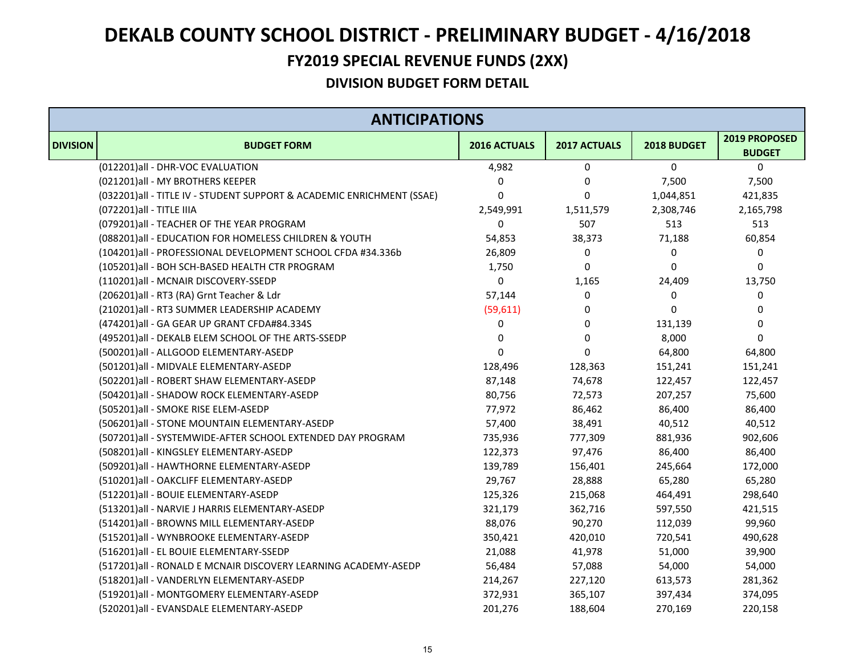#### **FY2019 SPECIAL REVENUE FUNDS (2XX)**

|                 | <b>ANTICIPATIONS</b>                                                   |              |              |             |                                |  |  |
|-----------------|------------------------------------------------------------------------|--------------|--------------|-------------|--------------------------------|--|--|
| <b>DIVISION</b> | <b>BUDGET FORM</b>                                                     | 2016 ACTUALS | 2017 ACTUALS | 2018 BUDGET | 2019 PROPOSED<br><b>BUDGET</b> |  |  |
|                 | (012201)all - DHR-VOC EVALUATION                                       | 4,982        | 0            | 0           | 0                              |  |  |
|                 | (021201)all - MY BROTHERS KEEPER                                       | 0            | 0            | 7,500       | 7,500                          |  |  |
|                 | (032201) all - TITLE IV - STUDENT SUPPORT & ACADEMIC ENRICHMENT (SSAE) | 0            | $\mathbf 0$  | 1,044,851   | 421,835                        |  |  |
|                 | (072201) all - TITLE IIIA                                              | 2,549,991    | 1,511,579    | 2,308,746   | 2,165,798                      |  |  |
|                 | (079201) all - TEACHER OF THE YEAR PROGRAM                             | 0            | 507          | 513         | 513                            |  |  |
|                 | (088201) all - EDUCATION FOR HOMELESS CHILDREN & YOUTH                 | 54,853       | 38,373       | 71,188      | 60,854                         |  |  |
|                 | (104201)all - PROFESSIONAL DEVELOPMENT SCHOOL CFDA #34.336b            | 26,809       | $\mathbf 0$  | 0           | 0                              |  |  |
|                 | (105201)all - BOH SCH-BASED HEALTH CTR PROGRAM                         | 1,750        | $\mathbf 0$  | $\mathbf 0$ | 0                              |  |  |
|                 | (110201)all - MCNAIR DISCOVERY-SSEDP                                   | 0            | 1,165        | 24,409      | 13,750                         |  |  |
|                 | (206201)all - RT3 (RA) Grnt Teacher & Ldr                              | 57,144       | 0            | 0           | 0                              |  |  |
|                 | (210201)all - RT3 SUMMER LEADERSHIP ACADEMY                            | (59, 611)    | 0            | 0           | 0                              |  |  |
|                 | (474201)all - GA GEAR UP GRANT CFDA#84.334S                            | 0            | 0            | 131,139     | 0                              |  |  |
|                 | (495201) all - DEKALB ELEM SCHOOL OF THE ARTS-SSEDP                    | 0            | 0            | 8,000       | $\mathbf 0$                    |  |  |
|                 | (500201)all - ALLGOOD ELEMENTARY-ASEDP                                 | 0            | 0            | 64,800      | 64,800                         |  |  |
|                 | (501201)all - MIDVALE ELEMENTARY-ASEDP                                 | 128,496      | 128,363      | 151,241     | 151,241                        |  |  |
|                 | (502201)all - ROBERT SHAW ELEMENTARY-ASEDP                             | 87,148       | 74,678       | 122,457     | 122,457                        |  |  |
|                 | (504201)all - SHADOW ROCK ELEMENTARY-ASEDP                             | 80,756       | 72,573       | 207,257     | 75,600                         |  |  |
|                 | (505201)all - SMOKE RISE ELEM-ASEDP                                    | 77,972       | 86,462       | 86,400      | 86,400                         |  |  |
|                 | (506201)all - STONE MOUNTAIN ELEMENTARY-ASEDP                          | 57,400       | 38,491       | 40,512      | 40,512                         |  |  |
|                 | (507201)all - SYSTEMWIDE-AFTER SCHOOL EXTENDED DAY PROGRAM             | 735,936      | 777,309      | 881,936     | 902,606                        |  |  |
|                 | (508201)all - KINGSLEY ELEMENTARY-ASEDP                                | 122,373      | 97,476       | 86,400      | 86,400                         |  |  |
|                 | (509201)all - HAWTHORNE ELEMENTARY-ASEDP                               | 139,789      | 156,401      | 245,664     | 172,000                        |  |  |
|                 | (510201)all - OAKCLIFF ELEMENTARY-ASEDP                                | 29,767       | 28,888       | 65,280      | 65,280                         |  |  |
|                 | (512201)all - BOUIE ELEMENTARY-ASEDP                                   | 125,326      | 215,068      | 464,491     | 298,640                        |  |  |
|                 | (513201)all - NARVIE J HARRIS ELEMENTARY-ASEDP                         | 321,179      | 362,716      | 597,550     | 421,515                        |  |  |
|                 | (514201)all - BROWNS MILL ELEMENTARY-ASEDP                             | 88,076       | 90,270       | 112,039     | 99,960                         |  |  |
|                 | (515201)all - WYNBROOKE ELEMENTARY-ASEDP                               | 350,421      | 420,010      | 720,541     | 490,628                        |  |  |
|                 | (516201)all - EL BOUIE ELEMENTARY-SSEDP                                | 21,088       | 41,978       | 51,000      | 39,900                         |  |  |
|                 | (517201)all - RONALD E MCNAIR DISCOVERY LEARNING ACADEMY-ASEDP         | 56,484       | 57,088       | 54,000      | 54,000                         |  |  |
|                 | (518201)all - VANDERLYN ELEMENTARY-ASEDP                               | 214,267      | 227,120      | 613,573     | 281,362                        |  |  |
|                 | (519201)all - MONTGOMERY ELEMENTARY-ASEDP                              | 372,931      | 365,107      | 397,434     | 374,095                        |  |  |
|                 | (520201)all - EVANSDALE ELEMENTARY-ASEDP                               | 201,276      | 188,604      | 270,169     | 220,158                        |  |  |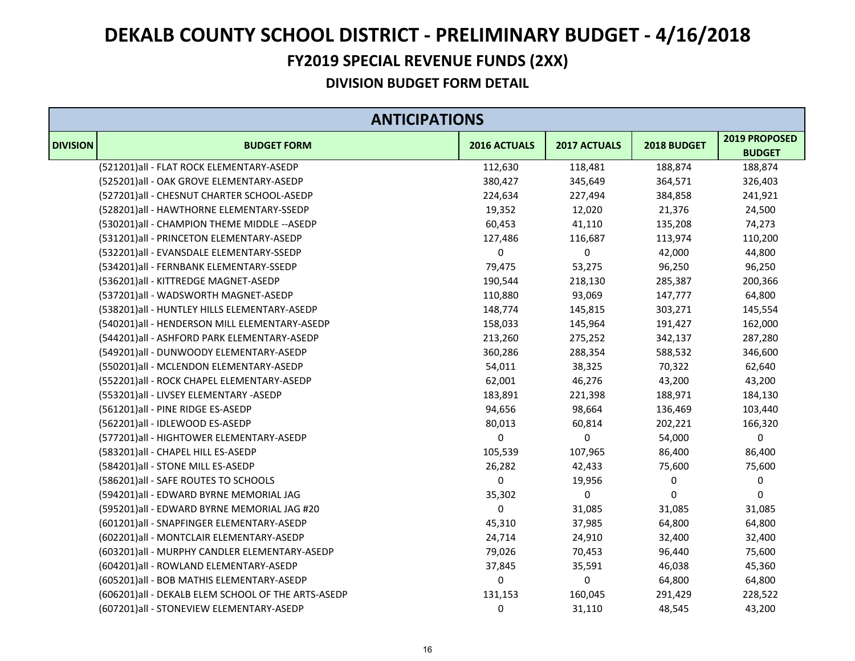#### **FY2019 SPECIAL REVENUE FUNDS (2XX)**

|                 | <b>ANTICIPATIONS</b>                                |              |              |             |                                |  |  |
|-----------------|-----------------------------------------------------|--------------|--------------|-------------|--------------------------------|--|--|
| <b>DIVISION</b> | <b>BUDGET FORM</b>                                  | 2016 ACTUALS | 2017 ACTUALS | 2018 BUDGET | 2019 PROPOSED<br><b>BUDGET</b> |  |  |
|                 | (521201)all - FLAT ROCK ELEMENTARY-ASEDP            | 112,630      | 118,481      | 188,874     | 188,874                        |  |  |
|                 | (525201)all - OAK GROVE ELEMENTARY-ASEDP            | 380,427      | 345,649      | 364,571     | 326,403                        |  |  |
|                 | (527201)all - CHESNUT CHARTER SCHOOL-ASEDP          | 224,634      | 227,494      | 384,858     | 241,921                        |  |  |
|                 | (528201)all - HAWTHORNE ELEMENTARY-SSEDP            | 19,352       | 12,020       | 21,376      | 24,500                         |  |  |
|                 | (530201) all - CHAMPION THEME MIDDLE -- ASEDP       | 60,453       | 41,110       | 135,208     | 74,273                         |  |  |
|                 | (531201)all - PRINCETON ELEMENTARY-ASEDP            | 127,486      | 116,687      | 113,974     | 110,200                        |  |  |
|                 | (532201)all - EVANSDALE ELEMENTARY-SSEDP            | 0            | 0            | 42,000      | 44,800                         |  |  |
|                 | (534201) all - FERNBANK ELEMENTARY-SSEDP            | 79,475       | 53,275       | 96,250      | 96,250                         |  |  |
|                 | (536201)all - KITTREDGE MAGNET-ASEDP                | 190,544      | 218,130      | 285,387     | 200,366                        |  |  |
|                 | (537201)all - WADSWORTH MAGNET-ASEDP                | 110,880      | 93,069       | 147,777     | 64,800                         |  |  |
|                 | (538201) all - HUNTLEY HILLS ELEMENTARY-ASEDP       | 148,774      | 145,815      | 303,271     | 145,554                        |  |  |
|                 | (540201)all - HENDERSON MILL ELEMENTARY-ASEDP       | 158,033      | 145,964      | 191,427     | 162,000                        |  |  |
|                 | (544201)all - ASHFORD PARK ELEMENTARY-ASEDP         | 213,260      | 275,252      | 342,137     | 287,280                        |  |  |
|                 | (549201)all - DUNWOODY ELEMENTARY-ASEDP             | 360,286      | 288,354      | 588,532     | 346,600                        |  |  |
|                 | (550201)all - MCLENDON ELEMENTARY-ASEDP             | 54,011       | 38,325       | 70,322      | 62,640                         |  |  |
|                 | (552201)all - ROCK CHAPEL ELEMENTARY-ASEDP          | 62,001       | 46,276       | 43,200      | 43,200                         |  |  |
|                 | (553201)all - LIVSEY ELEMENTARY -ASEDP              | 183,891      | 221,398      | 188,971     | 184,130                        |  |  |
|                 | (561201)all - PINE RIDGE ES-ASEDP                   | 94,656       | 98,664       | 136,469     | 103,440                        |  |  |
|                 | (562201)all - IDLEWOOD ES-ASEDP                     | 80,013       | 60,814       | 202,221     | 166,320                        |  |  |
|                 | (577201)all - HIGHTOWER ELEMENTARY-ASEDP            | 0            | 0            | 54,000      | $\mathbf 0$                    |  |  |
|                 | (583201)all - CHAPEL HILL ES-ASEDP                  | 105,539      | 107,965      | 86,400      | 86,400                         |  |  |
|                 | (584201)all - STONE MILL ES-ASEDP                   | 26,282       | 42,433       | 75,600      | 75,600                         |  |  |
|                 | (586201) all - SAFE ROUTES TO SCHOOLS               | 0            | 19,956       | 0           | $\pmb{0}$                      |  |  |
|                 | (594201)all - EDWARD BYRNE MEMORIAL JAG             | 35,302       | 0            | $\mathbf 0$ | 0                              |  |  |
|                 | (595201)all - EDWARD BYRNE MEMORIAL JAG #20         | 0            | 31,085       | 31,085      | 31,085                         |  |  |
|                 | (601201)all - SNAPFINGER ELEMENTARY-ASEDP           | 45,310       | 37,985       | 64,800      | 64,800                         |  |  |
|                 | (602201) all - MONTCLAIR ELEMENTARY-ASEDP           | 24,714       | 24,910       | 32,400      | 32,400                         |  |  |
|                 | (603201) all - MURPHY CANDLER ELEMENTARY-ASEDP      | 79,026       | 70,453       | 96,440      | 75,600                         |  |  |
|                 | (604201)all - ROWLAND ELEMENTARY-ASEDP              | 37,845       | 35,591       | 46,038      | 45,360                         |  |  |
|                 | (605201) all - BOB MATHIS ELEMENTARY-ASEDP          | 0            | 0            | 64,800      | 64,800                         |  |  |
|                 | (606201) all - DEKALB ELEM SCHOOL OF THE ARTS-ASEDP | 131,153      | 160,045      | 291,429     | 228,522                        |  |  |
|                 | (607201)all - STONEVIEW ELEMENTARY-ASEDP            | $\mathbf 0$  | 31,110       | 48,545      | 43,200                         |  |  |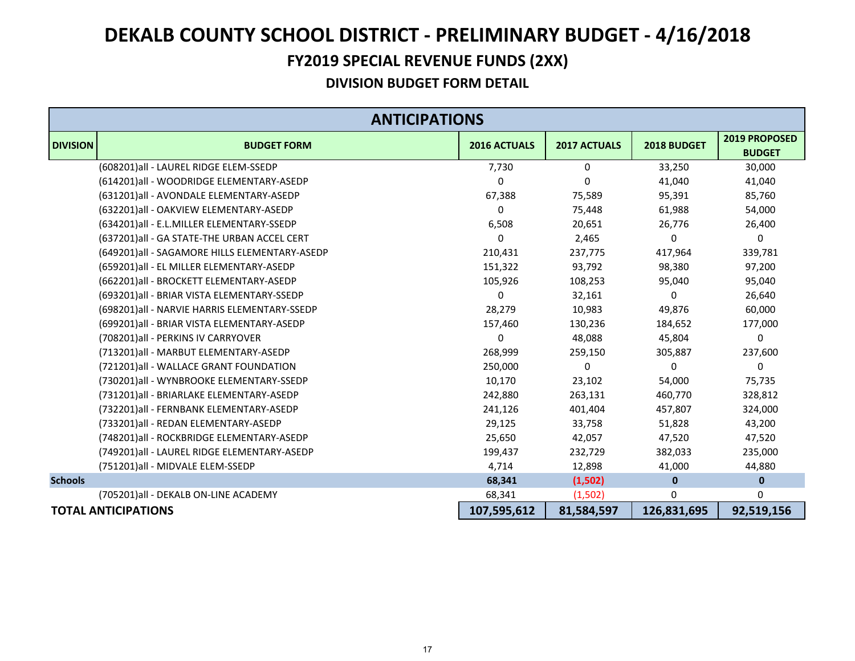#### **FY2019 SPECIAL REVENUE FUNDS (2XX)**

|                 | <b>ANTICIPATIONS</b>                          |                     |                     |              |                                       |  |
|-----------------|-----------------------------------------------|---------------------|---------------------|--------------|---------------------------------------|--|
| <b>DIVISION</b> | <b>BUDGET FORM</b>                            | <b>2016 ACTUALS</b> | <b>2017 ACTUALS</b> | 2018 BUDGET  | <b>2019 PROPOSED</b><br><b>BUDGET</b> |  |
|                 | (608201)all - LAUREL RIDGE ELEM-SSEDP         | 7,730               | $\Omega$            | 33,250       | 30,000                                |  |
|                 | (614201)all - WOODRIDGE ELEMENTARY-ASEDP      | 0                   | $\Omega$            | 41,040       | 41,040                                |  |
|                 | (631201)all - AVONDALE ELEMENTARY-ASEDP       | 67,388              | 75,589              | 95,391       | 85,760                                |  |
|                 | (632201)all - OAKVIEW ELEMENTARY-ASEDP        | 0                   | 75,448              | 61,988       | 54,000                                |  |
|                 | (634201)all - E.L.MILLER ELEMENTARY-SSEDP     | 6,508               | 20,651              | 26,776       | 26,400                                |  |
|                 | (637201) all - GA STATE-THE URBAN ACCEL CERT  | 0                   | 2,465               | 0            | 0                                     |  |
|                 | (649201)all - SAGAMORE HILLS ELEMENTARY-ASEDP | 210,431             | 237,775             | 417,964      | 339,781                               |  |
|                 | (659201) all - EL MILLER ELEMENTARY-ASEDP     | 151,322             | 93,792              | 98,380       | 97,200                                |  |
|                 | (662201) all - BROCKETT ELEMENTARY-ASEDP      | 105,926             | 108,253             | 95,040       | 95,040                                |  |
|                 | (693201)all - BRIAR VISTA ELEMENTARY-SSEDP    | 0                   | 32,161              | 0            | 26,640                                |  |
|                 | (698201) all - NARVIE HARRIS ELEMENTARY-SSEDP | 28,279              | 10,983              | 49,876       | 60,000                                |  |
|                 | (699201)all - BRIAR VISTA ELEMENTARY-ASEDP    | 157,460             | 130,236             | 184,652      | 177,000                               |  |
|                 | (708201) all - PERKINS IV CARRYOVER           | 0                   | 48,088              | 45,804       | 0                                     |  |
|                 | (713201)all - MARBUT ELEMENTARY-ASEDP         | 268,999             | 259,150             | 305,887      | 237,600                               |  |
|                 | (721201)all - WALLACE GRANT FOUNDATION        | 250,000             | 0                   | 0            | 0                                     |  |
|                 | (730201)all - WYNBROOKE ELEMENTARY-SSEDP      | 10,170              | 23,102              | 54,000       | 75,735                                |  |
|                 | (731201)all - BRIARLAKE ELEMENTARY-ASEDP      | 242,880             | 263,131             | 460,770      | 328,812                               |  |
|                 | (732201)all - FERNBANK ELEMENTARY-ASEDP       | 241,126             | 401,404             | 457,807      | 324,000                               |  |
|                 | (733201)all - REDAN ELEMENTARY-ASEDP          | 29,125              | 33,758              | 51,828       | 43,200                                |  |
|                 | (748201)all - ROCKBRIDGE ELEMENTARY-ASEDP     | 25,650              | 42,057              | 47,520       | 47,520                                |  |
|                 | (749201) all - LAUREL RIDGE ELEMENTARY-ASEDP  | 199,437             | 232,729             | 382,033      | 235,000                               |  |
|                 | (751201) all - MIDVALE ELEM-SSEDP             | 4,714               | 12,898              | 41,000       | 44,880                                |  |
| <b>Schools</b>  |                                               | 68,341              | (1,502)             | $\mathbf{0}$ | $\bf{0}$                              |  |
|                 | (705201) all - DEKALB ON-LINE ACADEMY         | 68,341              | (1,502)             | $\Omega$     | 0                                     |  |
|                 | <b>TOTAL ANTICIPATIONS</b>                    | 107,595,612         | 81,584,597          | 126,831,695  | 92,519,156                            |  |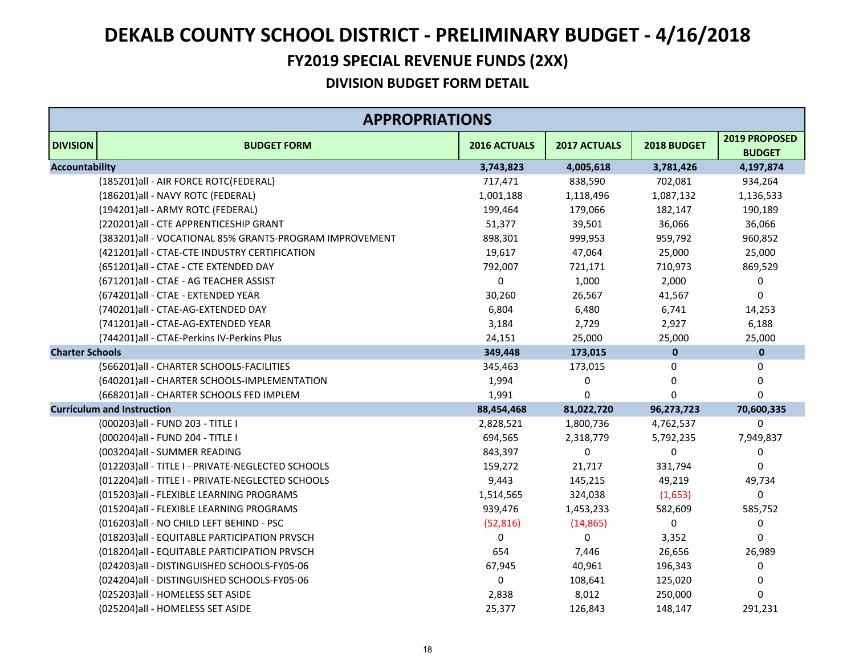#### **FY2019 SPECIAL REVENUE FUNDS (2XX)**

|                        | <b>APPROPRIATIONS</b>                                   |              |              |                |                                |
|------------------------|---------------------------------------------------------|--------------|--------------|----------------|--------------------------------|
| <b>DIVISION</b>        | <b>BUDGET FORM</b>                                      | 2016 ACTUALS | 2017 ACTUALS | 2018 BUDGET    | 2019 PROPOSED<br><b>BUDGET</b> |
| <b>Accountability</b>  |                                                         | 3,743,823    | 4,005,618    | 3,781,426      | 4,197,874                      |
|                        | (185201) all - AIR FORCE ROTC(FEDERAL)                  | 717,471      | 838,590      | 702,081        | 934,264                        |
|                        | (186201)all - NAVY ROTC (FEDERAL)                       | 1,001,188    | 1,118,496    | 1,087,132      | 1,136,533                      |
|                        | (194201) all - ARMY ROTC (FEDERAL)                      | 199,464      | 179,066      | 182,147        | 190,189                        |
|                        | (220201)all - CTE APPRENTICESHIP GRANT                  | 51,377       | 39,501       | 36,066         | 36,066                         |
|                        | (383201)all - VOCATIONAL 85% GRANTS-PROGRAM IMPROVEMENT | 898,301      | 999,953      | 959,792        | 960,852                        |
|                        | (421201)all - CTAE-CTE INDUSTRY CERTIFICATION           | 19,617       | 47,064       | 25,000         | 25,000                         |
|                        | (651201)all - CTAE - CTE EXTENDED DAY                   | 792,007      | 721,171      | 710,973        | 869,529                        |
|                        | (671201)all - CTAE - AG TEACHER ASSIST                  | 0            | 1,000        | 2,000          | 0                              |
|                        | (674201)all - CTAE - EXTENDED YEAR                      | 30,260       | 26,567       | 41,567         | 0                              |
|                        | (740201)all - CTAE-AG-EXTENDED DAY                      | 6,804        | 6,480        | 6,741          | 14,253                         |
|                        | (741201)all - CTAE-AG-EXTENDED YEAR                     | 3,184        | 2,729        | 2,927          | 6,188                          |
|                        | (744201)all - CTAE-Perkins IV-Perkins Plus              | 24,151       | 25,000       | 25,000         | 25,000                         |
| <b>Charter Schools</b> |                                                         | 349,448      | 173,015      | $\mathbf 0$    | $\pmb{0}$                      |
|                        | (566201) all - CHARTER SCHOOLS-FACILITIES               | 345,463      | 173,015      | 0              | 0                              |
|                        | (640201)all - CHARTER SCHOOLS-IMPLEMENTATION            | 1,994        | 0            | $\Omega$       | 0                              |
|                        | (668201)all - CHARTER SCHOOLS FED IMPLEM                | 1,991        | 0            | 0              | 0                              |
|                        | <b>Curriculum and Instruction</b>                       | 88,454,468   | 81,022,720   | 96,273,723     | 70,600,335                     |
|                        | (000203) all - FUND 203 - TITLE I                       | 2,828,521    | 1,800,736    | 4,762,537      | 0                              |
|                        | (000204) all - FUND 204 - TITLE I                       | 694,565      | 2,318,779    | 5,792,235      | 7,949,837                      |
|                        | (003204) all - SUMMER READING                           | 843,397      | 0            | $\overline{0}$ | 0                              |
|                        | (012203)all - TITLE I - PRIVATE-NEGLECTED SCHOOLS       | 159,272      | 21,717       | 331,794        | $\mathbf 0$                    |
|                        | (012204)all - TITLE I - PRIVATE-NEGLECTED SCHOOLS       | 9,443        | 145,215      | 49,219         | 49,734                         |
|                        | (015203)all - FLEXIBLE LEARNING PROGRAMS                | 1,514,565    | 324,038      | (1,653)        | 0                              |
|                        | (015204) all - FLEXIBLE LEARNING PROGRAMS               | 939,476      | 1,453,233    | 582,609        | 585,752                        |
|                        | (016203) all - NO CHILD LEFT BEHIND - PSC               | (52, 816)    | (14, 865)    | 0              | 0                              |
|                        | (018203) all - EQUITABLE PARTICIPATION PRVSCH           | 0            | 0            | 3,352          | 0                              |
|                        | (018204) all - EQUITABLE PARTICIPATION PRVSCH           | 654          | 7,446        | 26,656         | 26,989                         |
|                        | (024203)all - DISTINGUISHED SCHOOLS-FY05-06             | 67,945       | 40,961       | 196,343        | 0                              |
|                        | (024204)all - DISTINGUISHED SCHOOLS-FY05-06             | 0            | 108,641      | 125,020        | 0                              |
|                        | (025203) all - HOMELESS SET ASIDE                       | 2,838        | 8,012        | 250,000        | 0                              |
|                        | (025204) all - HOMELESS SET ASIDE                       | 25,377       | 126,843      | 148,147        | 291,231                        |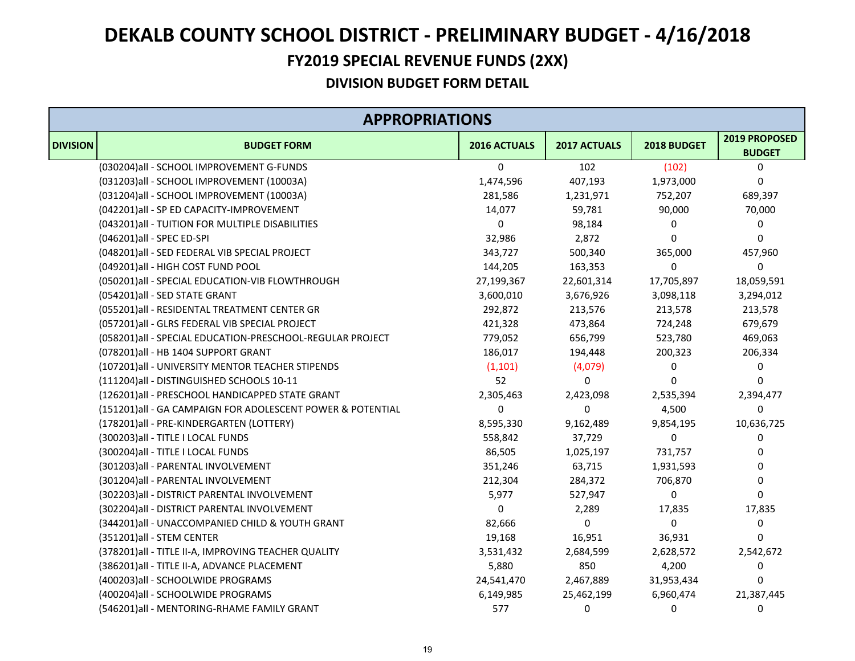#### **FY2019 SPECIAL REVENUE FUNDS (2XX)**

|                 | <b>APPROPRIATIONS</b>                                      |              |                |             |                                |  |
|-----------------|------------------------------------------------------------|--------------|----------------|-------------|--------------------------------|--|
| <b>DIVISION</b> | <b>BUDGET FORM</b>                                         | 2016 ACTUALS | 2017 ACTUALS   | 2018 BUDGET | 2019 PROPOSED<br><b>BUDGET</b> |  |
|                 | (030204)all - SCHOOL IMPROVEMENT G-FUNDS                   | $\mathbf{0}$ | 102            | (102)       | 0                              |  |
|                 | (031203)all - SCHOOL IMPROVEMENT (10003A)                  | 1,474,596    | 407,193        | 1,973,000   | 0                              |  |
|                 | (031204)all - SCHOOL IMPROVEMENT (10003A)                  | 281,586      | 1,231,971      | 752,207     | 689,397                        |  |
|                 | (042201)all - SP ED CAPACITY-IMPROVEMENT                   | 14,077       | 59,781         | 90,000      | 70,000                         |  |
|                 | (043201) all - TUITION FOR MULTIPLE DISABILITIES           | 0            | 98,184         | 0           | 0                              |  |
|                 | (046201)all - SPEC ED-SPI                                  | 32,986       | 2,872          | $\Omega$    | 0                              |  |
|                 | (048201) all - SED FEDERAL VIB SPECIAL PROJECT             | 343,727      | 500,340        | 365,000     | 457,960                        |  |
|                 | (049201)all - HIGH COST FUND POOL                          | 144,205      | 163,353        | 0           | 0                              |  |
|                 | (050201) all - SPECIAL EDUCATION-VIB FLOWTHROUGH           | 27,199,367   | 22,601,314     | 17,705,897  | 18,059,591                     |  |
|                 | (054201)all - SED STATE GRANT                              | 3,600,010    | 3,676,926      | 3,098,118   | 3,294,012                      |  |
|                 | (055201)all - RESIDENTAL TREATMENT CENTER GR               | 292,872      | 213,576        | 213,578     | 213,578                        |  |
|                 | (057201)all - GLRS FEDERAL VIB SPECIAL PROJECT             | 421,328      | 473,864        | 724,248     | 679,679                        |  |
|                 | (058201) all - SPECIAL EDUCATION-PRESCHOOL-REGULAR PROJECT | 779,052      | 656,799        | 523,780     | 469,063                        |  |
|                 | (078201)all - HB 1404 SUPPORT GRANT                        | 186,017      | 194,448        | 200,323     | 206,334                        |  |
|                 | (107201) all - UNIVERSITY MENTOR TEACHER STIPENDS          | (1, 101)     | (4,079)        | 0           | 0                              |  |
|                 | (111204)all - DISTINGUISHED SCHOOLS 10-11                  | 52           | 0              | $\Omega$    | 0                              |  |
|                 | (126201)all - PRESCHOOL HANDICAPPED STATE GRANT            | 2,305,463    | 2,423,098      | 2,535,394   | 2,394,477                      |  |
|                 | (151201)all - GA CAMPAIGN FOR ADOLESCENT POWER & POTENTIAL | 0            | $\overline{0}$ | 4,500       | $\Omega$                       |  |
|                 | (178201) all - PRE-KINDERGARTEN (LOTTERY)                  | 8,595,330    | 9,162,489      | 9,854,195   | 10,636,725                     |  |
|                 | (300203) all - TITLE I LOCAL FUNDS                         | 558,842      | 37,729         | $\Omega$    | 0                              |  |
|                 | (300204) all - TITLE I LOCAL FUNDS                         | 86,505       | 1,025,197      | 731,757     | 0                              |  |
|                 | (301203)all - PARENTAL INVOLVEMENT                         | 351,246      | 63,715         | 1,931,593   | 0                              |  |
|                 | (301204)all - PARENTAL INVOLVEMENT                         | 212,304      | 284,372        | 706,870     | 0                              |  |
|                 | (302203) all - DISTRICT PARENTAL INVOLVEMENT               | 5,977        | 527,947        | $\Omega$    | 0                              |  |
|                 | (302204) all - DISTRICT PARENTAL INVOLVEMENT               | 0            | 2,289          | 17,835      | 17,835                         |  |
|                 | (344201)all - UNACCOMPANIED CHILD & YOUTH GRANT            | 82,666       | 0              | 0           | 0                              |  |
|                 | (351201)all - STEM CENTER                                  | 19,168       | 16,951         | 36,931      | 0                              |  |
|                 | (378201) all - TITLE II-A, IMPROVING TEACHER QUALITY       | 3,531,432    | 2,684,599      | 2,628,572   | 2,542,672                      |  |
|                 | (386201) all - TITLE II-A, ADVANCE PLACEMENT               | 5,880        | 850            | 4,200       | 0                              |  |
|                 | (400203)all - SCHOOLWIDE PROGRAMS                          | 24,541,470   | 2,467,889      | 31,953,434  | 0                              |  |
|                 | (400204)all - SCHOOLWIDE PROGRAMS                          | 6,149,985    | 25,462,199     | 6,960,474   | 21,387,445                     |  |
|                 | (546201)all - MENTORING-RHAME FAMILY GRANT                 | 577          | 0              | $\Omega$    | $\mathbf 0$                    |  |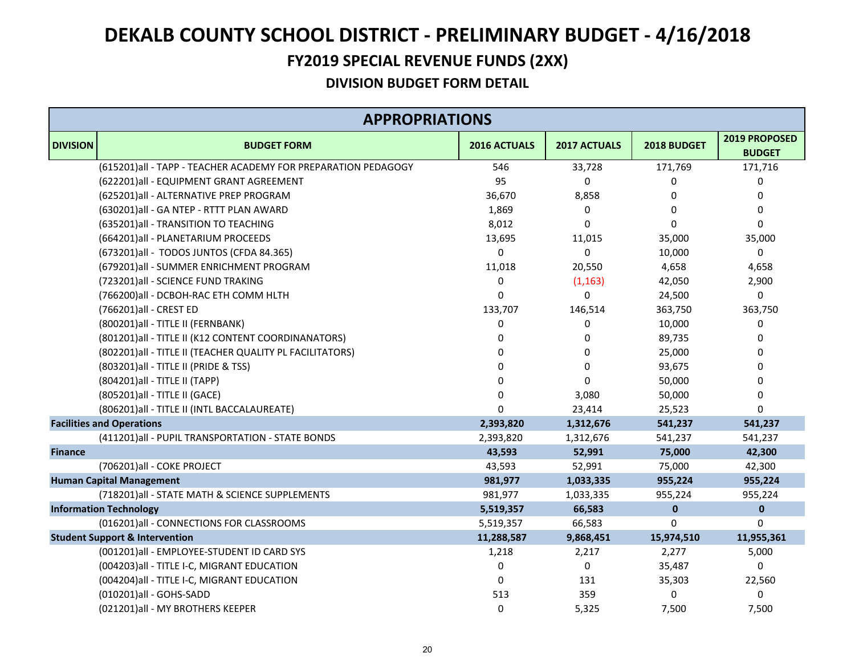#### **FY2019 SPECIAL REVENUE FUNDS (2XX)**

| <b>APPROPRIATIONS</b> |                                                               |              |              |              |                                |
|-----------------------|---------------------------------------------------------------|--------------|--------------|--------------|--------------------------------|
| <b>DIVISION</b>       | <b>BUDGET FORM</b>                                            | 2016 ACTUALS | 2017 ACTUALS | 2018 BUDGET  | 2019 PROPOSED<br><b>BUDGET</b> |
|                       | (615201)all - TAPP - TEACHER ACADEMY FOR PREPARATION PEDAGOGY | 546          | 33,728       | 171,769      | 171,716                        |
|                       | (622201)all - EQUIPMENT GRANT AGREEMENT                       | 95           | $\mathbf 0$  | 0            | 0                              |
|                       | (625201)all - ALTERNATIVE PREP PROGRAM                        | 36,670       | 8,858        | 0            | 0                              |
|                       | (630201)all - GA NTEP - RTTT PLAN AWARD                       | 1,869        | $\mathbf 0$  | $\Omega$     | $\mathbf 0$                    |
|                       | (635201)all - TRANSITION TO TEACHING                          | 8,012        | $\Omega$     | $\Omega$     | 0                              |
|                       | (664201) all - PLANETARIUM PROCEEDS                           | 13,695       | 11,015       | 35,000       | 35,000                         |
|                       | (673201)all - TODOS JUNTOS (CFDA 84.365)                      | 0            | 0            | 10,000       | 0                              |
|                       | (679201) all - SUMMER ENRICHMENT PROGRAM                      | 11,018       | 20,550       | 4,658        | 4,658                          |
|                       | (723201)all - SCIENCE FUND TRAKING                            | 0            | (1, 163)     | 42,050       | 2,900                          |
|                       | (766200) all - DCBOH-RAC ETH COMM HLTH                        | 0            | 0            | 24,500       | 0                              |
|                       | (766201) all - CREST ED                                       | 133,707      | 146,514      | 363,750      | 363,750                        |
|                       | (800201) all - TITLE II (FERNBANK)                            | 0            | $\mathbf 0$  | 10,000       | 0                              |
|                       | (801201) all - TITLE II (K12 CONTENT COORDINANATORS)          | $\Omega$     | 0            | 89,735       | 0                              |
|                       | (802201) all - TITLE II (TEACHER QUALITY PL FACILITATORS)     |              | 0            | 25,000       | 0                              |
|                       | (803201) all - TITLE II (PRIDE & TSS)                         |              | $\Omega$     | 93,675       | $\Omega$                       |
|                       | (804201) all - TITLE II (TAPP)                                |              | $\Omega$     | 50,000       | 0                              |
|                       | (805201) all - TITLE II (GACE)                                | n            | 3,080        | 50,000       | 0                              |
|                       | (806201) all - TITLE II (INTL BACCALAUREATE)                  | $\Omega$     | 23,414       | 25,523       | $\Omega$                       |
|                       | <b>Facilities and Operations</b>                              | 2,393,820    | 1,312,676    | 541,237      | 541,237                        |
|                       | (411201)all - PUPIL TRANSPORTATION - STATE BONDS              | 2,393,820    | 1,312,676    | 541,237      | 541,237                        |
| <b>Finance</b>        |                                                               | 43,593       | 52,991       | 75,000       | 42,300                         |
|                       | (706201) all - COKE PROJECT                                   | 43,593       | 52,991       | 75,000       | 42,300                         |
|                       | <b>Human Capital Management</b>                               | 981,977      | 1,033,335    | 955,224      | 955,224                        |
|                       | (718201) all - STATE MATH & SCIENCE SUPPLEMENTS               | 981,977      | 1,033,335    | 955,224      | 955,224                        |
|                       | <b>Information Technology</b>                                 | 5,519,357    | 66,583       | $\mathbf{0}$ | $\mathbf 0$                    |
|                       | (016201)all - CONNECTIONS FOR CLASSROOMS                      | 5,519,357    | 66,583       | $\Omega$     | $\Omega$                       |
|                       | <b>Student Support &amp; Intervention</b>                     | 11,288,587   | 9,868,451    | 15,974,510   | 11,955,361                     |
|                       | (001201)all - EMPLOYEE-STUDENT ID CARD SYS                    | 1,218        | 2,217        | 2,277        | 5,000                          |
|                       | (004203) all - TITLE I-C, MIGRANT EDUCATION                   | 0            | $\pmb{0}$    | 35,487       | 0                              |
|                       | (004204) all - TITLE I-C, MIGRANT EDUCATION                   | 0            | 131          | 35,303       | 22,560                         |
|                       | (010201)all - GOHS-SADD                                       | 513          | 359          | 0            | 0                              |
|                       | (021201)all - MY BROTHERS KEEPER                              | $\Omega$     | 5,325        | 7,500        | 7,500                          |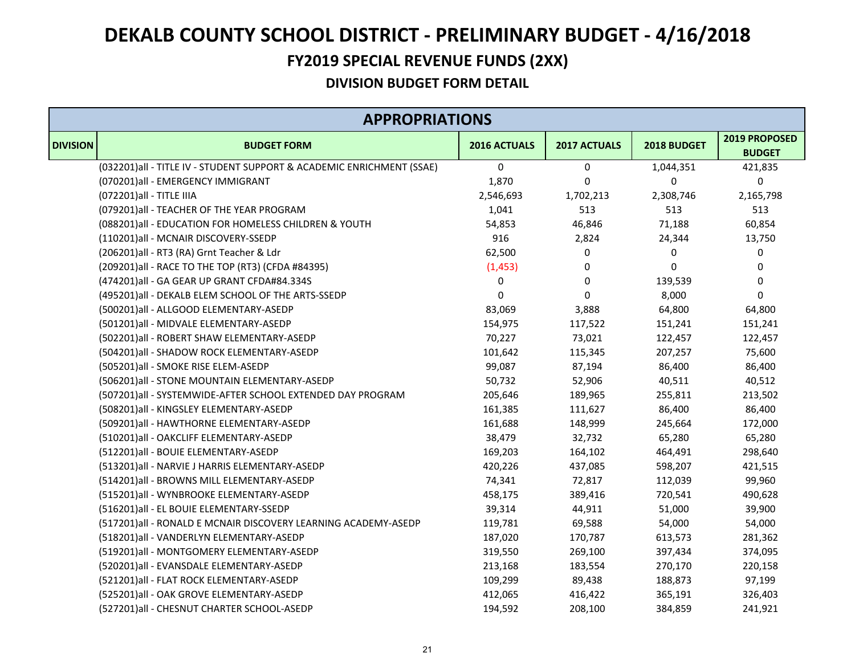#### **FY2019 SPECIAL REVENUE FUNDS (2XX)**

| <b>APPROPRIATIONS</b> |                                                                       |              |              |             |                                |
|-----------------------|-----------------------------------------------------------------------|--------------|--------------|-------------|--------------------------------|
| <b>DIVISION</b>       | <b>BUDGET FORM</b>                                                    | 2016 ACTUALS | 2017 ACTUALS | 2018 BUDGET | 2019 PROPOSED<br><b>BUDGET</b> |
|                       | (032201)all - TITLE IV - STUDENT SUPPORT & ACADEMIC ENRICHMENT (SSAE) | 0            | 0            | 1,044,351   | 421,835                        |
|                       | (070201)all - EMERGENCY IMMIGRANT                                     | 1,870        | $\mathbf 0$  | 0           | $\pmb{0}$                      |
|                       | (072201) all - TITLE IIIA                                             | 2,546,693    | 1,702,213    | 2,308,746   | 2,165,798                      |
|                       | (079201) all - TEACHER OF THE YEAR PROGRAM                            | 1,041        | 513          | 513         | 513                            |
|                       | (088201) all - EDUCATION FOR HOMELESS CHILDREN & YOUTH                | 54,853       | 46,846       | 71,188      | 60,854                         |
|                       | (110201)all - MCNAIR DISCOVERY-SSEDP                                  | 916          | 2,824        | 24,344      | 13,750                         |
|                       | (206201)all - RT3 (RA) Grnt Teacher & Ldr                             | 62,500       | 0            | 0           | 0                              |
|                       | (209201) all - RACE TO THE TOP (RT3) (CFDA #84395)                    | (1, 453)     | $\mathbf 0$  | 0           | 0                              |
|                       | (474201)all - GA GEAR UP GRANT CFDA#84.334S                           | 0            | 0            | 139,539     | 0                              |
|                       | (495201)all - DEKALB ELEM SCHOOL OF THE ARTS-SSEDP                    | 0            | 0            | 8,000       | $\pmb{0}$                      |
|                       | (500201)all - ALLGOOD ELEMENTARY-ASEDP                                | 83,069       | 3,888        | 64,800      | 64,800                         |
|                       | (501201)all - MIDVALE ELEMENTARY-ASEDP                                | 154,975      | 117,522      | 151,241     | 151,241                        |
|                       | (502201)all - ROBERT SHAW ELEMENTARY-ASEDP                            | 70,227       | 73,021       | 122,457     | 122,457                        |
|                       | (504201)all - SHADOW ROCK ELEMENTARY-ASEDP                            | 101,642      | 115,345      | 207,257     | 75,600                         |
|                       | (505201)all - SMOKE RISE ELEM-ASEDP                                   | 99,087       | 87,194       | 86,400      | 86,400                         |
|                       | (506201)all - STONE MOUNTAIN ELEMENTARY-ASEDP                         | 50,732       | 52,906       | 40,511      | 40,512                         |
|                       | (507201)all - SYSTEMWIDE-AFTER SCHOOL EXTENDED DAY PROGRAM            | 205,646      | 189,965      | 255,811     | 213,502                        |
|                       | (508201)all - KINGSLEY ELEMENTARY-ASEDP                               | 161,385      | 111,627      | 86,400      | 86,400                         |
|                       | (509201)all - HAWTHORNE ELEMENTARY-ASEDP                              | 161,688      | 148,999      | 245,664     | 172,000                        |
|                       | (510201)all - OAKCLIFF ELEMENTARY-ASEDP                               | 38,479       | 32,732       | 65,280      | 65,280                         |
|                       | (512201)all - BOUIE ELEMENTARY-ASEDP                                  | 169,203      | 164,102      | 464,491     | 298,640                        |
|                       | (513201)all - NARVIE J HARRIS ELEMENTARY-ASEDP                        | 420,226      | 437,085      | 598,207     | 421,515                        |
|                       | (514201)all - BROWNS MILL ELEMENTARY-ASEDP                            | 74,341       | 72,817       | 112,039     | 99,960                         |
|                       | (515201)all - WYNBROOKE ELEMENTARY-ASEDP                              | 458,175      | 389,416      | 720,541     | 490,628                        |
|                       | (516201)all - EL BOUIE ELEMENTARY-SSEDP                               | 39,314       | 44,911       | 51,000      | 39,900                         |
|                       | (517201)all - RONALD E MCNAIR DISCOVERY LEARNING ACADEMY-ASEDP        | 119,781      | 69,588       | 54,000      | 54,000                         |
|                       | (518201)all - VANDERLYN ELEMENTARY-ASEDP                              | 187,020      | 170,787      | 613,573     | 281,362                        |
|                       | (519201)all - MONTGOMERY ELEMENTARY-ASEDP                             | 319,550      | 269,100      | 397,434     | 374,095                        |
|                       | (520201)all - EVANSDALE ELEMENTARY-ASEDP                              | 213,168      | 183,554      | 270,170     | 220,158                        |
|                       | (521201)all - FLAT ROCK ELEMENTARY-ASEDP                              | 109,299      | 89,438       | 188,873     | 97,199                         |
|                       | (525201)all - OAK GROVE ELEMENTARY-ASEDP                              | 412,065      | 416,422      | 365,191     | 326,403                        |
|                       | (527201)all - CHESNUT CHARTER SCHOOL-ASEDP                            | 194,592      | 208,100      | 384,859     | 241,921                        |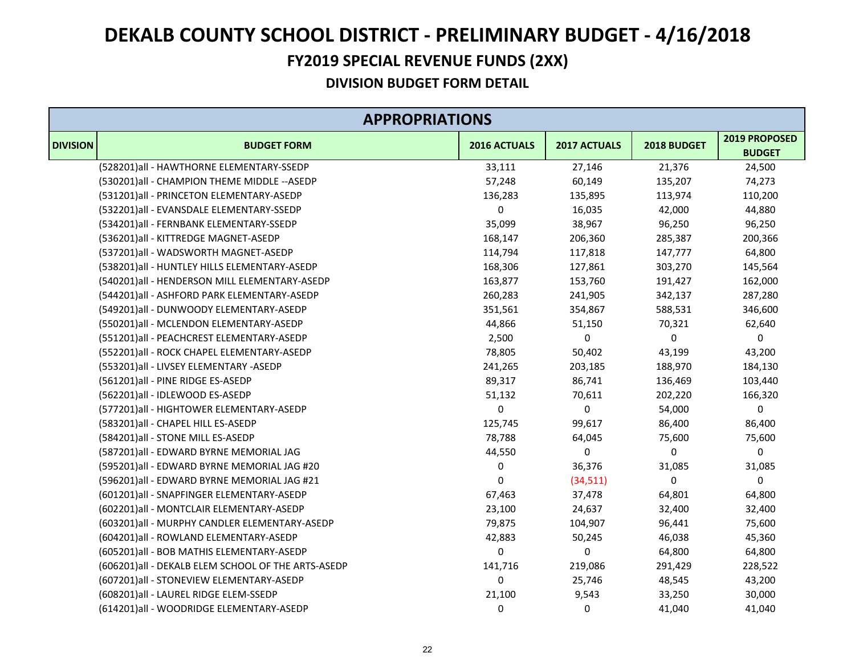#### **FY2019 SPECIAL REVENUE FUNDS (2XX)**

| <b>APPROPRIATIONS</b> |                                                     |              |              |             |                                |
|-----------------------|-----------------------------------------------------|--------------|--------------|-------------|--------------------------------|
| <b>DIVISION</b>       | <b>BUDGET FORM</b>                                  | 2016 ACTUALS | 2017 ACTUALS | 2018 BUDGET | 2019 PROPOSED<br><b>BUDGET</b> |
|                       | (528201)all - HAWTHORNE ELEMENTARY-SSEDP            | 33,111       | 27,146       | 21,376      | 24,500                         |
|                       | (530201)all - CHAMPION THEME MIDDLE -- ASEDP        | 57,248       | 60,149       | 135,207     | 74,273                         |
|                       | (531201)all - PRINCETON ELEMENTARY-ASEDP            | 136,283      | 135,895      | 113,974     | 110,200                        |
|                       | (532201)all - EVANSDALE ELEMENTARY-SSEDP            | 0            | 16,035       | 42,000      | 44,880                         |
|                       | (534201)all - FERNBANK ELEMENTARY-SSEDP             | 35,099       | 38,967       | 96,250      | 96,250                         |
|                       | (536201)all - KITTREDGE MAGNET-ASEDP                | 168,147      | 206,360      | 285,387     | 200,366                        |
|                       | (537201)all - WADSWORTH MAGNET-ASEDP                | 114,794      | 117,818      | 147,777     | 64,800                         |
|                       | (538201) all - HUNTLEY HILLS ELEMENTARY-ASEDP       | 168,306      | 127,861      | 303,270     | 145,564                        |
|                       | (540201)all - HENDERSON MILL ELEMENTARY-ASEDP       | 163,877      | 153,760      | 191,427     | 162,000                        |
|                       | (544201)all - ASHFORD PARK ELEMENTARY-ASEDP         | 260,283      | 241,905      | 342,137     | 287,280                        |
|                       | (549201)all - DUNWOODY ELEMENTARY-ASEDP             | 351,561      | 354,867      | 588,531     | 346,600                        |
|                       | (550201)all - MCLENDON ELEMENTARY-ASEDP             | 44,866       | 51,150       | 70,321      | 62,640                         |
|                       | (551201)all - PEACHCREST ELEMENTARY-ASEDP           | 2,500        | 0            | $\mathbf 0$ | 0                              |
|                       | (552201)all - ROCK CHAPEL ELEMENTARY-ASEDP          | 78,805       | 50,402       | 43,199      | 43,200                         |
|                       | (553201)all - LIVSEY ELEMENTARY -ASEDP              | 241,265      | 203,185      | 188,970     | 184,130                        |
|                       | (561201)all - PINE RIDGE ES-ASEDP                   | 89,317       | 86,741       | 136,469     | 103,440                        |
|                       | (562201)all - IDLEWOOD ES-ASEDP                     | 51,132       | 70,611       | 202,220     | 166,320                        |
|                       | (577201)all - HIGHTOWER ELEMENTARY-ASEDP            | 0            | 0            | 54,000      | 0                              |
|                       | (583201) all - CHAPEL HILL ES-ASEDP                 | 125,745      | 99,617       | 86,400      | 86,400                         |
|                       | (584201)all - STONE MILL ES-ASEDP                   | 78,788       | 64,045       | 75,600      | 75,600                         |
|                       | (587201)all - EDWARD BYRNE MEMORIAL JAG             | 44,550       | 0            | 0           | 0                              |
|                       | (595201)all - EDWARD BYRNE MEMORIAL JAG #20         | 0            | 36,376       | 31,085      | 31,085                         |
|                       | (596201)all - EDWARD BYRNE MEMORIAL JAG #21         | 0            | (34, 511)    | 0           | $\pmb{0}$                      |
|                       | (601201)all - SNAPFINGER ELEMENTARY-ASEDP           | 67,463       | 37,478       | 64,801      | 64,800                         |
|                       | (602201) all - MONTCLAIR ELEMENTARY-ASEDP           | 23,100       | 24,637       | 32,400      | 32,400                         |
|                       | (603201)all - MURPHY CANDLER ELEMENTARY-ASEDP       | 79,875       | 104,907      | 96,441      | 75,600                         |
|                       | (604201)all - ROWLAND ELEMENTARY-ASEDP              | 42,883       | 50,245       | 46,038      | 45,360                         |
|                       | (605201) all - BOB MATHIS ELEMENTARY-ASEDP          | 0            | 0            | 64,800      | 64,800                         |
|                       | (606201) all - DEKALB ELEM SCHOOL OF THE ARTS-ASEDP | 141,716      | 219,086      | 291,429     | 228,522                        |
|                       | (607201)all - STONEVIEW ELEMENTARY-ASEDP            | 0            | 25,746       | 48,545      | 43,200                         |
|                       | (608201)all - LAUREL RIDGE ELEM-SSEDP               | 21,100       | 9,543        | 33,250      | 30,000                         |
|                       | (614201)all - WOODRIDGE ELEMENTARY-ASEDP            | 0            | 0            | 41,040      | 41,040                         |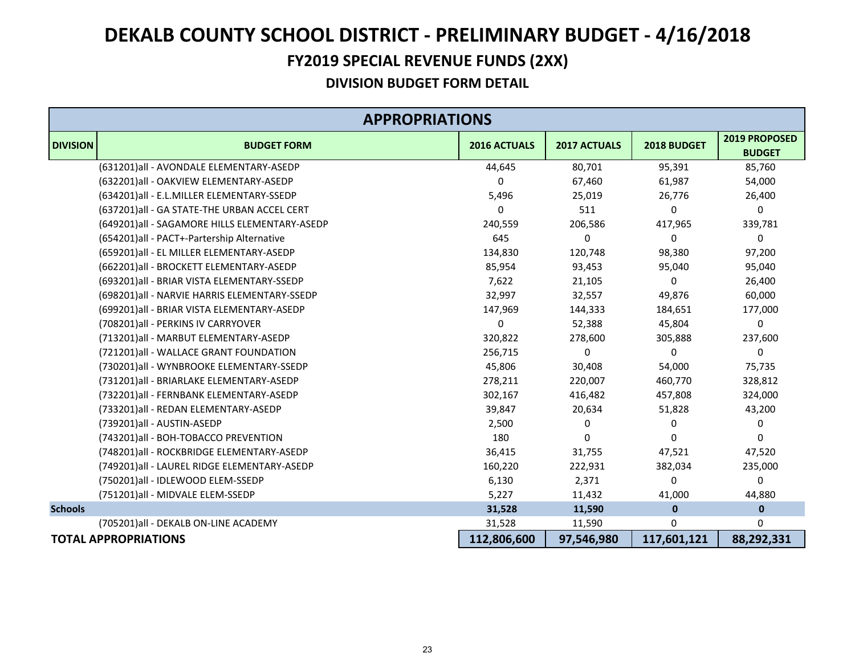#### **FY2019 SPECIAL REVENUE FUNDS (2XX)**

| <b>APPROPRIATIONS</b> |                                               |              |                     |              |                                |  |
|-----------------------|-----------------------------------------------|--------------|---------------------|--------------|--------------------------------|--|
| <b>DIVISION</b>       | <b>BUDGET FORM</b>                            | 2016 ACTUALS | <b>2017 ACTUALS</b> | 2018 BUDGET  | 2019 PROPOSED<br><b>BUDGET</b> |  |
|                       | (631201)all - AVONDALE ELEMENTARY-ASEDP       | 44,645       | 80,701              | 95,391       | 85,760                         |  |
|                       | (632201)all - OAKVIEW ELEMENTARY-ASEDP        | 0            | 67,460              | 61,987       | 54,000                         |  |
|                       | (634201)all - E.L.MILLER ELEMENTARY-SSEDP     | 5,496        | 25,019              | 26,776       | 26,400                         |  |
|                       | (637201)all - GA STATE-THE URBAN ACCEL CERT   | 0            | 511                 | 0            | 0                              |  |
|                       | (649201)all - SAGAMORE HILLS ELEMENTARY-ASEDP | 240,559      | 206,586             | 417,965      | 339,781                        |  |
|                       | (654201)all - PACT+-Partership Alternative    | 645          | 0                   | 0            | 0                              |  |
|                       | (659201)all - EL MILLER ELEMENTARY-ASEDP      | 134,830      | 120,748             | 98,380       | 97,200                         |  |
|                       | (662201)all - BROCKETT ELEMENTARY-ASEDP       | 85,954       | 93,453              | 95,040       | 95,040                         |  |
|                       | (693201) all - BRIAR VISTA ELEMENTARY-SSEDP   | 7,622        | 21,105              | 0            | 26,400                         |  |
|                       | (698201) all - NARVIE HARRIS ELEMENTARY-SSEDP | 32,997       | 32,557              | 49,876       | 60,000                         |  |
|                       | (699201) all - BRIAR VISTA ELEMENTARY-ASEDP   | 147,969      | 144,333             | 184,651      | 177,000                        |  |
|                       | (708201) all - PERKINS IV CARRYOVER           | 0            | 52,388              | 45,804       | 0                              |  |
|                       | (713201)all - MARBUT ELEMENTARY-ASEDP         | 320,822      | 278,600             | 305,888      | 237,600                        |  |
|                       | (721201)all - WALLACE GRANT FOUNDATION        | 256,715      | 0                   | 0            | 0                              |  |
|                       | (730201)all - WYNBROOKE ELEMENTARY-SSEDP      | 45,806       | 30,408              | 54,000       | 75,735                         |  |
|                       | (731201)all - BRIARLAKE ELEMENTARY-ASEDP      | 278,211      | 220,007             | 460,770      | 328,812                        |  |
|                       | (732201)all - FERNBANK ELEMENTARY-ASEDP       | 302,167      | 416,482             | 457,808      | 324,000                        |  |
|                       | (733201)all - REDAN ELEMENTARY-ASEDP          | 39,847       | 20,634              | 51,828       | 43,200                         |  |
|                       | (739201)all - AUSTIN-ASEDP                    | 2,500        | 0                   | 0            | 0                              |  |
|                       | (743201)all - BOH-TOBACCO PREVENTION          | 180          | 0                   | 0            | 0                              |  |
|                       | (748201)all - ROCKBRIDGE ELEMENTARY-ASEDP     | 36,415       | 31,755              | 47,521       | 47,520                         |  |
|                       | (749201)all - LAUREL RIDGE ELEMENTARY-ASEDP   | 160,220      | 222,931             | 382,034      | 235,000                        |  |
|                       | (750201)all - IDLEWOOD ELEM-SSEDP             | 6,130        | 2,371               | 0            | 0                              |  |
|                       | (751201)all - MIDVALE ELEM-SSEDP              | 5,227        | 11,432              | 41,000       | 44,880                         |  |
| <b>Schools</b>        |                                               | 31,528       | 11,590              | $\mathbf{0}$ | $\bf{0}$                       |  |
|                       | (705201) all - DEKALB ON-LINE ACADEMY         | 31,528       | 11,590              | $\Omega$     | 0                              |  |
|                       | <b>TOTAL APPROPRIATIONS</b>                   | 112,806,600  | 97,546,980          | 117,601,121  | 88,292,331                     |  |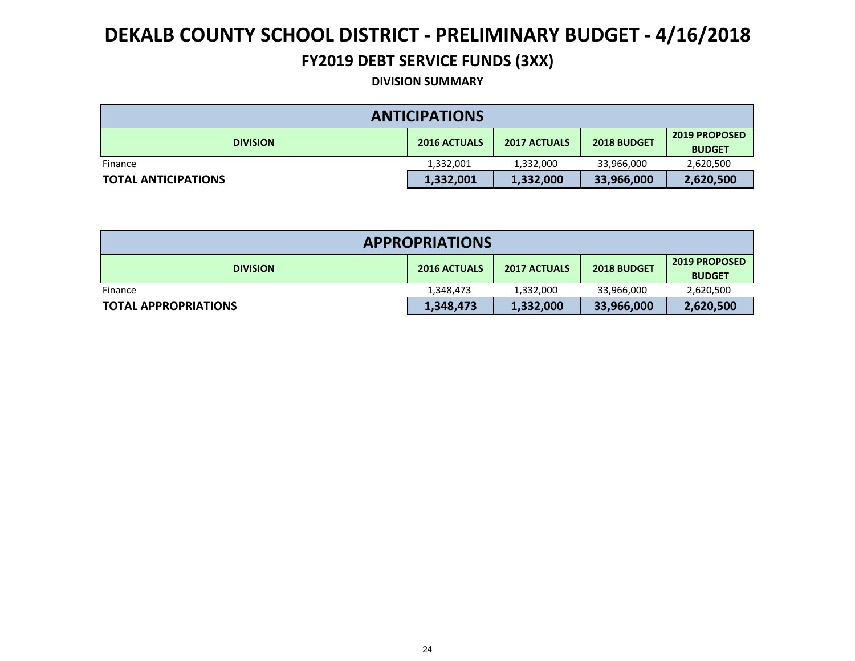#### **FY2019 DEBT SERVICE FUNDS (3XX)**

#### **DIVISION SUMMARY**

| <b>ANTICIPATIONS</b>       |                     |                     |             |                                       |  |  |  |
|----------------------------|---------------------|---------------------|-------------|---------------------------------------|--|--|--|
| <b>DIVISION</b>            | <b>2016 ACTUALS</b> | <b>2017 ACTUALS</b> | 2018 BUDGET | <b>2019 PROPOSED</b><br><b>BUDGET</b> |  |  |  |
| Finance                    | 1,332,001           | 1,332,000           | 33,966,000  | 2,620,500                             |  |  |  |
| <b>TOTAL ANTICIPATIONS</b> | 1,332,001           | 1,332,000           | 33,966,000  | 2,620,500                             |  |  |  |

| <b>APPROPRIATIONS</b>       |                     |                     |             |                                       |  |  |
|-----------------------------|---------------------|---------------------|-------------|---------------------------------------|--|--|
| <b>DIVISION</b>             | <b>2016 ACTUALS</b> | <b>2017 ACTUALS</b> | 2018 BUDGET | <b>2019 PROPOSED</b><br><b>BUDGET</b> |  |  |
| Finance                     | 1,348,473           | 1,332,000           | 33,966,000  | 2,620,500                             |  |  |
| <b>TOTAL APPROPRIATIONS</b> | 1,348,473           | 1,332,000           | 33,966,000  | 2,620,500                             |  |  |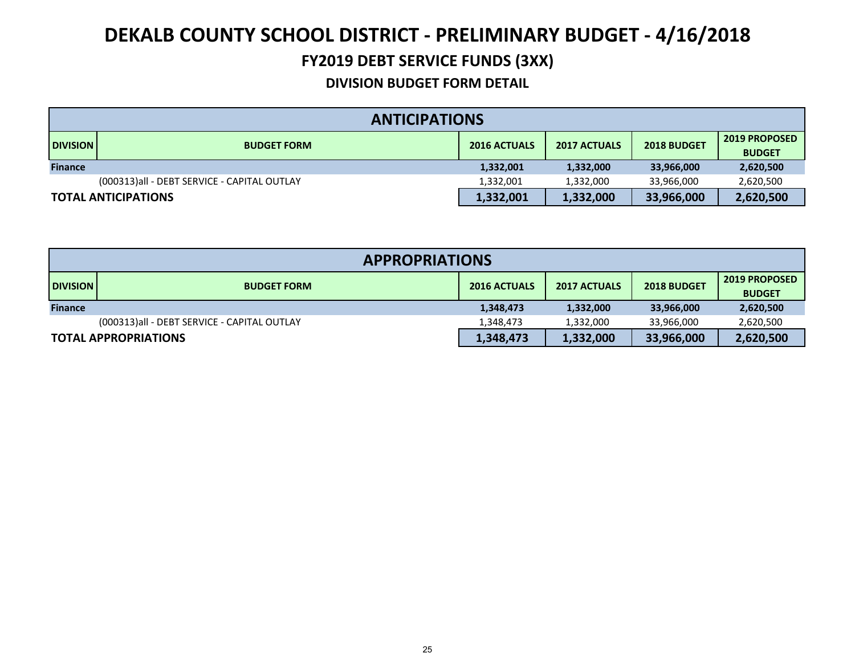#### **FY2019 DEBT SERVICE FUNDS (3XX)**

|                            | <b>ANTICIPATIONS</b>                                                            |           |           |            |           |  |  |
|----------------------------|---------------------------------------------------------------------------------|-----------|-----------|------------|-----------|--|--|
| <b>DIVISION</b>            | <b>2016 ACTUALS</b><br><b>2017 ACTUALS</b><br>2018 BUDGET<br><b>BUDGET FORM</b> |           |           |            |           |  |  |
| <b>Finance</b>             |                                                                                 | 1,332,001 | 1,332,000 | 33,966,000 | 2,620,500 |  |  |
|                            | (000313)all - DEBT SERVICE - CAPITAL OUTLAY                                     | 1,332,001 | 1,332,000 | 33,966,000 | 2,620,500 |  |  |
| <b>TOTAL ANTICIPATIONS</b> |                                                                                 | 1,332,001 | 1,332,000 | 33,966,000 | 2,620,500 |  |  |

| <b>APPROPRIATIONS</b>       |                                                                                                         |           |           |            |           |  |
|-----------------------------|---------------------------------------------------------------------------------------------------------|-----------|-----------|------------|-----------|--|
| <b>DIVISION</b>             | <b>2019 PROPOSED</b><br><b>2016 ACTUALS</b><br>2018 BUDGET<br><b>2017 ACTUALS</b><br><b>BUDGET FORM</b> |           |           |            |           |  |
| <b>Finance</b>              |                                                                                                         | 1,348,473 | 1,332,000 | 33,966,000 | 2,620,500 |  |
|                             | (000313)all - DEBT SERVICE - CAPITAL OUTLAY                                                             | 1,348,473 | 1.332.000 | 33.966.000 | 2,620,500 |  |
| <b>TOTAL APPROPRIATIONS</b> |                                                                                                         | 1,348,473 | 1,332,000 | 33,966,000 | 2,620,500 |  |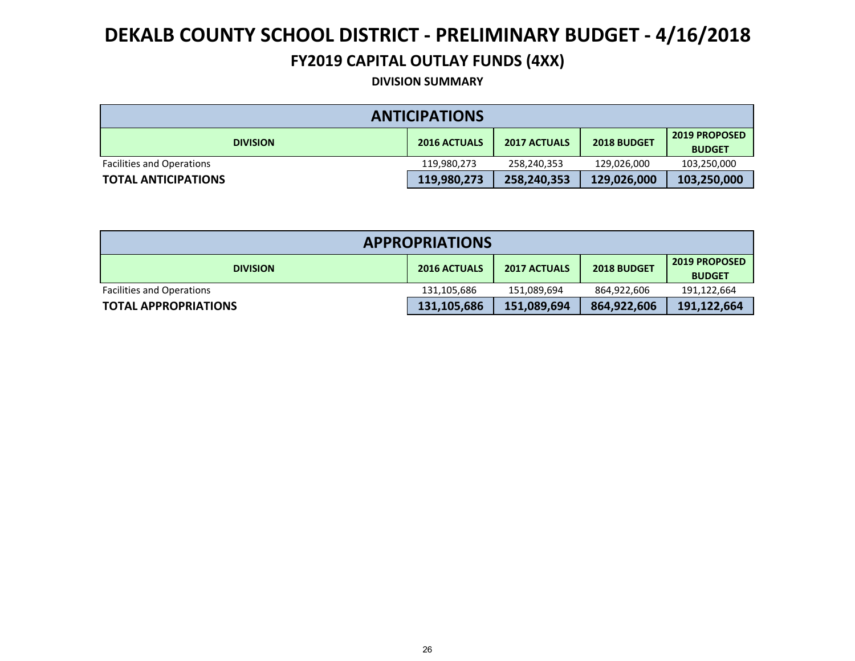#### **FY2019 CAPITAL OUTLAY FUNDS (4XX)**

**DIVISION SUMMARY**

| <b>ANTICIPATIONS</b>             |                     |                     |             |                                       |  |  |
|----------------------------------|---------------------|---------------------|-------------|---------------------------------------|--|--|
| <b>DIVISION</b>                  | <b>2016 ACTUALS</b> | <b>2017 ACTUALS</b> | 2018 BUDGET | <b>2019 PROPOSED</b><br><b>BUDGET</b> |  |  |
| <b>Facilities and Operations</b> | 119,980,273         | 258,240,353         | 129,026,000 | 103,250,000                           |  |  |
| <b>TOTAL ANTICIPATIONS</b>       | 119,980,273         | 258,240,353         | 129,026,000 | 103,250,000                           |  |  |

| <b>APPROPRIATIONS</b>            |                     |                     |             |                                       |  |  |
|----------------------------------|---------------------|---------------------|-------------|---------------------------------------|--|--|
| <b>DIVISION</b>                  | <b>2016 ACTUALS</b> | <b>2017 ACTUALS</b> | 2018 BUDGET | <b>2019 PROPOSED</b><br><b>BUDGET</b> |  |  |
| <b>Facilities and Operations</b> | 131,105,686         | 151,089,694         | 864,922,606 | 191,122,664                           |  |  |
| <b>TOTAL APPROPRIATIONS</b>      | 131,105,686         | 151,089,694         | 864,922,606 | 191,122,664                           |  |  |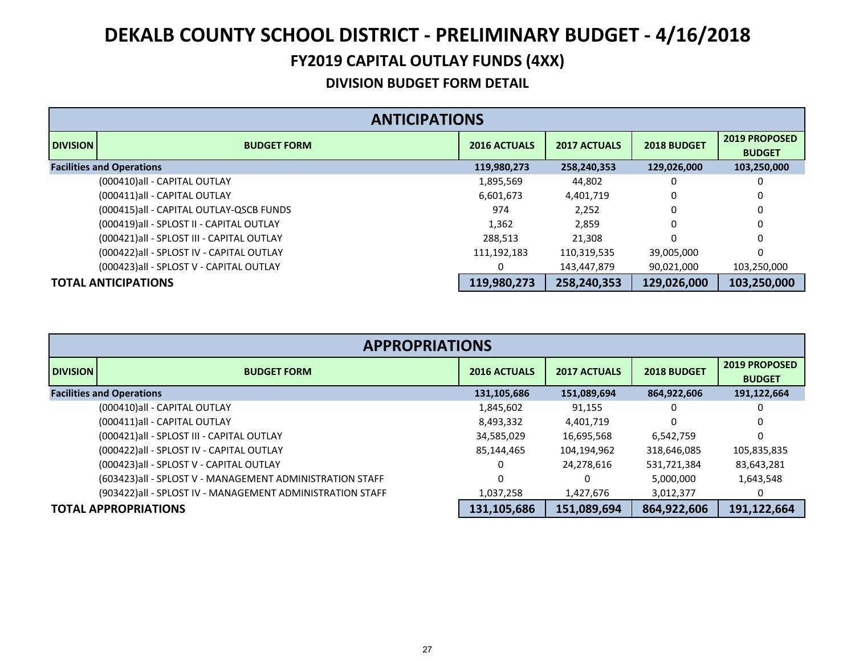#### **FY2019 CAPITAL OUTLAY FUNDS (4XX)**

|                 | <b>ANTICIPATIONS</b>                       |                     |                     |             |                                       |  |  |
|-----------------|--------------------------------------------|---------------------|---------------------|-------------|---------------------------------------|--|--|
| <b>DIVISION</b> | <b>BUDGET FORM</b>                         | <b>2016 ACTUALS</b> | <b>2017 ACTUALS</b> | 2018 BUDGET | <b>2019 PROPOSED</b><br><b>BUDGET</b> |  |  |
|                 | <b>Facilities and Operations</b>           | 119,980,273         | 258,240,353         | 129,026,000 | 103,250,000                           |  |  |
|                 | (000410) all - CAPITAL OUTLAY              | 1,895,569           | 44,802              | 0           | 0                                     |  |  |
|                 | (000411) all - CAPITAL OUTLAY              | 6,601,673           | 4,401,719           | 0           | 0                                     |  |  |
|                 | (000415)all - CAPITAL OUTLAY-QSCB FUNDS    | 974                 | 2,252               | 0           | 0                                     |  |  |
|                 | (000419) all - SPLOST II - CAPITAL OUTLAY  | 1,362               | 2,859               | 0           | 0                                     |  |  |
|                 | (000421) all - SPLOST III - CAPITAL OUTLAY | 288,513             | 21,308              | 0           | 0                                     |  |  |
|                 | (000422) all - SPLOST IV - CAPITAL OUTLAY  | 111,192,183         | 110,319,535         | 39,005,000  | 0                                     |  |  |
|                 | (000423) all - SPLOST V - CAPITAL OUTLAY   | 0                   | 143,447,879         | 90,021,000  | 103,250,000                           |  |  |
|                 | <b>TOTAL ANTICIPATIONS</b>                 | 119,980,273         | 258,240,353         | 129,026,000 | 103,250,000                           |  |  |

|                 | <b>APPROPRIATIONS</b>                                      |                     |                     |              |                                       |  |  |
|-----------------|------------------------------------------------------------|---------------------|---------------------|--------------|---------------------------------------|--|--|
| <b>DIVISION</b> | <b>BUDGET FORM</b>                                         | <b>2016 ACTUALS</b> | <b>2017 ACTUALS</b> | 2018 BUDGET  | <b>2019 PROPOSED</b><br><b>BUDGET</b> |  |  |
|                 | <b>Facilities and Operations</b>                           | 131,105,686         | 151,089,694         | 864,922,606  | 191,122,664                           |  |  |
|                 | (000410)all - CAPITAL OUTLAY                               | 1,845,602           | 91,155              | 0            |                                       |  |  |
|                 | (000411) all - CAPITAL OUTLAY                              | 8,493,332           | 4,401,719           | <sup>0</sup> | 0                                     |  |  |
|                 | (000421) all - SPLOST III - CAPITAL OUTLAY                 | 34,585,029          | 16,695,568          | 6,542,759    | 0                                     |  |  |
|                 | (000422) all - SPLOST IV - CAPITAL OUTLAY                  | 85,144,465          | 104,194,962         | 318,646,085  | 105,835,835                           |  |  |
|                 | (000423) all - SPLOST V - CAPITAL OUTLAY                   | 0                   | 24,278,616          | 531,721,384  | 83,643,281                            |  |  |
|                 | (603423) all - SPLOST V - MANAGEMENT ADMINISTRATION STAFF  | 0                   |                     | 5,000,000    | 1,643,548                             |  |  |
|                 | (903422) all - SPLOST IV - MANAGEMENT ADMINISTRATION STAFF | 1,037,258           | 1,427,676           | 3,012,377    | $\Omega$                              |  |  |
|                 | <b>TOTAL APPROPRIATIONS</b>                                | 131,105,686         | 151,089,694         | 864,922,606  | 191,122,664                           |  |  |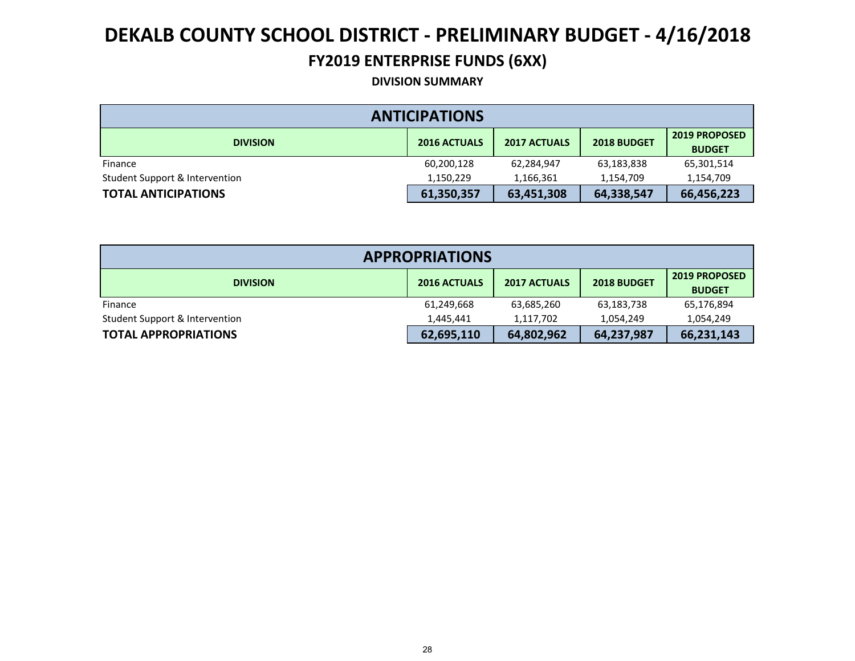#### **FY2019 ENTERPRISE FUNDS (6XX)**

#### **DIVISION SUMMARY**

| <b>ANTICIPATIONS</b>           |                     |                     |             |                                       |  |  |  |
|--------------------------------|---------------------|---------------------|-------------|---------------------------------------|--|--|--|
| <b>DIVISION</b>                | <b>2016 ACTUALS</b> | <b>2017 ACTUALS</b> | 2018 BUDGET | <b>2019 PROPOSED</b><br><b>BUDGET</b> |  |  |  |
| Finance                        | 60,200,128          | 62,284,947          | 63,183,838  | 65,301,514                            |  |  |  |
| Student Support & Intervention | 1.150.229           | 1.166.361           | 1.154.709   | 1,154,709                             |  |  |  |
| <b>TOTAL ANTICIPATIONS</b>     | 61,350,357          | 63,451,308          | 64,338,547  | 66,456,223                            |  |  |  |

| <b>APPROPRIATIONS</b>          |                     |                     |             |                                |  |  |  |
|--------------------------------|---------------------|---------------------|-------------|--------------------------------|--|--|--|
| <b>DIVISION</b>                | <b>2016 ACTUALS</b> | <b>2017 ACTUALS</b> | 2018 BUDGET | 2019 PROPOSED<br><b>BUDGET</b> |  |  |  |
| Finance                        | 61,249,668          | 63,685,260          | 63,183,738  | 65,176,894                     |  |  |  |
| Student Support & Intervention | 1.445.441           | 1,117,702           | 1,054,249   | 1,054,249                      |  |  |  |
| <b>TOTAL APPROPRIATIONS</b>    | 62,695,110          | 64,802,962          | 64,237,987  | 66,231,143                     |  |  |  |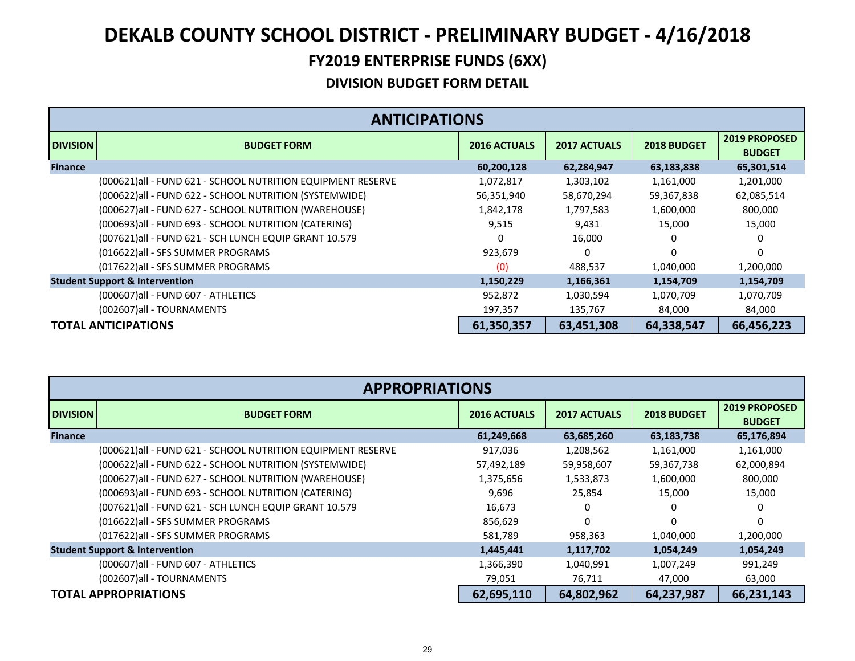| <b>ANTICIPATIONS</b>                      |                                                              |                     |                     |             |                                       |  |
|-------------------------------------------|--------------------------------------------------------------|---------------------|---------------------|-------------|---------------------------------------|--|
| <b>DIVISION</b>                           | <b>BUDGET FORM</b>                                           | <b>2016 ACTUALS</b> | <b>2017 ACTUALS</b> | 2018 BUDGET | <b>2019 PROPOSED</b><br><b>BUDGET</b> |  |
| <b>Finance</b>                            |                                                              | 60,200,128          | 62,284,947          | 63,183,838  | 65,301,514                            |  |
|                                           | (000621) all - FUND 621 - SCHOOL NUTRITION EQUIPMENT RESERVE | 1,072,817           | 1,303,102           | 1,161,000   | 1,201,000                             |  |
|                                           | (000622) all - FUND 622 - SCHOOL NUTRITION (SYSTEMWIDE)      | 56,351,940          | 58,670,294          | 59,367,838  | 62,085,514                            |  |
|                                           | (000627) all - FUND 627 - SCHOOL NUTRITION (WAREHOUSE)       | 1,842,178           | 1,797,583           | 1,600,000   | 800,000                               |  |
|                                           | (000693)all - FUND 693 - SCHOOL NUTRITION (CATERING)         | 9,515               | 9,431               | 15,000      | 15,000                                |  |
|                                           | (007621) all - FUND 621 - SCH LUNCH EQUIP GRANT 10.579       | 0                   | 16,000              |             |                                       |  |
|                                           | (016622) all - SFS SUMMER PROGRAMS                           | 923,679             | 0                   | $\Omega$    | $\Omega$                              |  |
|                                           | (017622) all - SFS SUMMER PROGRAMS                           | (0)                 | 488,537             | 1,040,000   | 1,200,000                             |  |
| <b>Student Support &amp; Intervention</b> |                                                              | 1,150,229           | 1,166,361           | 1,154,709   | 1,154,709                             |  |
|                                           | (000607) all - FUND 607 - ATHLETICS                          | 952,872             | 1,030,594           | 1,070,709   | 1,070,709                             |  |
|                                           | (002607)all - TOURNAMENTS                                    | 197,357             | 135,767             | 84,000      | 84,000                                |  |
| <b>TOTAL ANTICIPATIONS</b>                |                                                              | 61,350,357          | 63,451,308          | 64,338,547  | 66,456,223                            |  |

| <b>APPROPRIATIONS</b>       |                                                             |                     |                     |             |                                       |  |  |
|-----------------------------|-------------------------------------------------------------|---------------------|---------------------|-------------|---------------------------------------|--|--|
| <b>DIVISION</b>             | <b>BUDGET FORM</b>                                          | <b>2016 ACTUALS</b> | <b>2017 ACTUALS</b> | 2018 BUDGET | <b>2019 PROPOSED</b><br><b>BUDGET</b> |  |  |
| <b>Finance</b>              |                                                             | 61,249,668          | 63,685,260          | 63,183,738  | 65,176,894                            |  |  |
|                             | (000621)all - FUND 621 - SCHOOL NUTRITION EQUIPMENT RESERVE | 917,036             | 1,208,562           | 1,161,000   | 1,161,000                             |  |  |
|                             | (000622) all - FUND 622 - SCHOOL NUTRITION (SYSTEMWIDE)     | 57,492,189          | 59,958,607          | 59,367,738  | 62,000,894                            |  |  |
|                             | (000627) all - FUND 627 - SCHOOL NUTRITION (WAREHOUSE)      | 1,375,656           | 1,533,873           | 1,600,000   | 800,000                               |  |  |
|                             | (000693)all - FUND 693 - SCHOOL NUTRITION (CATERING)        | 9,696               | 25,854              | 15,000      | 15,000                                |  |  |
|                             | (007621) all - FUND 621 - SCH LUNCH EQUIP GRANT 10.579      | 16,673              | 0                   | 0           | 0                                     |  |  |
|                             | (016622) all - SFS SUMMER PROGRAMS                          | 856,629             | $\Omega$            | $\Omega$    | $\Omega$                              |  |  |
|                             | (017622) all - SFS SUMMER PROGRAMS                          | 581,789             | 958,363             | 1,040,000   | 1,200,000                             |  |  |
|                             | <b>Student Support &amp; Intervention</b>                   | 1,445,441           | 1,117,702           | 1,054,249   | 1,054,249                             |  |  |
|                             | (000607) all - FUND 607 - ATHLETICS                         | 1,366,390           | 1,040,991           | 1,007,249   | 991,249                               |  |  |
|                             | (002607)all - TOURNAMENTS                                   | 79,051              | 76,711              | 47,000      | 63,000                                |  |  |
| <b>TOTAL APPROPRIATIONS</b> |                                                             | 62,695,110          | 64,802,962          | 64,237,987  | 66,231,143                            |  |  |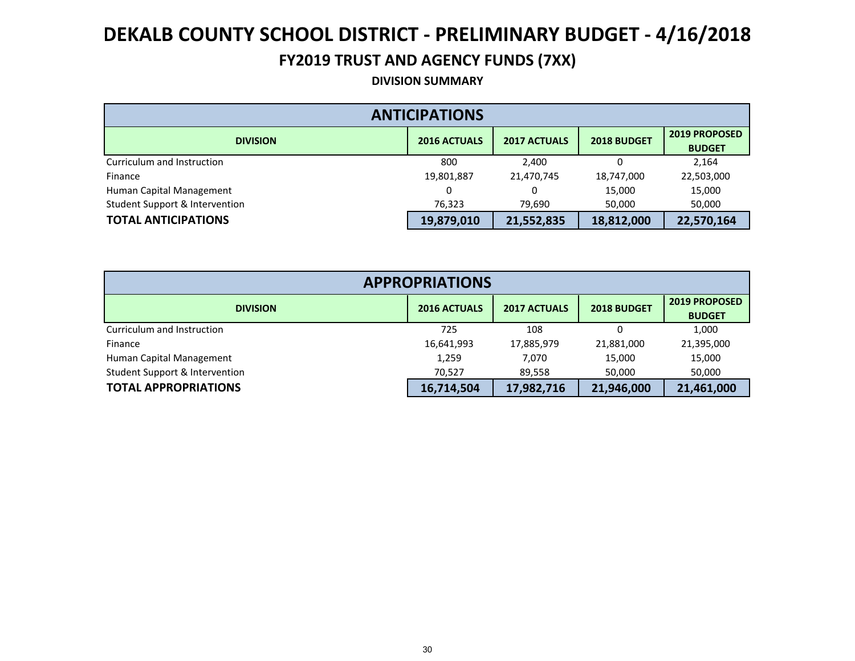#### **FY2019 TRUST AND AGENCY FUNDS (7XX)**

**DIVISION SUMMARY**

| <b>ANTICIPATIONS</b>           |                     |                     |             |                                |  |  |
|--------------------------------|---------------------|---------------------|-------------|--------------------------------|--|--|
| <b>DIVISION</b>                | <b>2016 ACTUALS</b> | <b>2017 ACTUALS</b> | 2018 BUDGET | 2019 PROPOSED<br><b>BUDGET</b> |  |  |
| Curriculum and Instruction     | 800                 | 2,400               |             | 2,164                          |  |  |
| Finance                        | 19,801,887          | 21,470,745          | 18,747,000  | 22,503,000                     |  |  |
| Human Capital Management       |                     | 0                   | 15,000      | 15,000                         |  |  |
| Student Support & Intervention | 76,323              | 79,690              | 50,000      | 50,000                         |  |  |
| <b>TOTAL ANTICIPATIONS</b>     | 19,879,010          | 21,552,835          | 18,812,000  | 22,570,164                     |  |  |

| <b>APPROPRIATIONS</b>          |                     |                     |             |                                       |  |  |
|--------------------------------|---------------------|---------------------|-------------|---------------------------------------|--|--|
| <b>DIVISION</b>                | <b>2016 ACTUALS</b> | <b>2017 ACTUALS</b> | 2018 BUDGET | <b>2019 PROPOSED</b><br><b>BUDGET</b> |  |  |
| Curriculum and Instruction     | 725                 | 108                 |             | 1,000                                 |  |  |
| Finance                        | 16,641,993          | 17,885,979          | 21,881,000  | 21,395,000                            |  |  |
| Human Capital Management       | 1,259               | 7.070               | 15,000      | 15,000                                |  |  |
| Student Support & Intervention | 70,527              | 89,558              | 50,000      | 50,000                                |  |  |
| <b>TOTAL APPROPRIATIONS</b>    | 16,714,504          | 17,982,716          | 21,946,000  | 21,461,000                            |  |  |